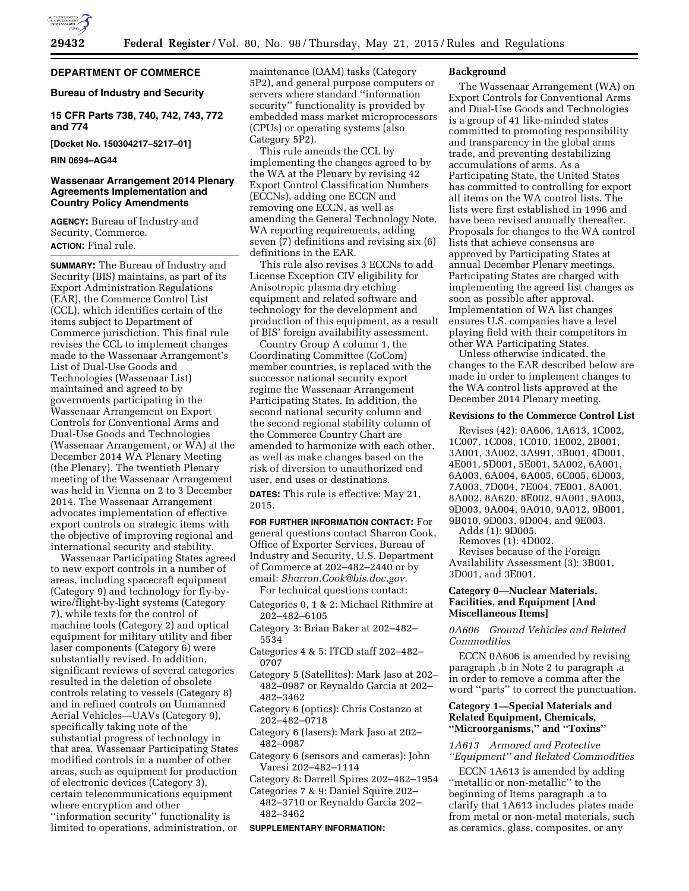

# **DEPARTMENT OF COMMERCE**

### **Bureau of Industry and Security**

**15 CFR Parts 738, 740, 742, 743, 772 and 774** 

**[Docket No. 150304217–5217–01]** 

#### **RIN 0694–AG44**

### **Wassenaar Arrangement 2014 Plenary Agreements Implementation and Country Policy Amendments**

**AGENCY:** Bureau of Industry and Security, Commerce. **ACTION:** Final rule.

**SUMMARY:** The Bureau of Industry and Security (BIS) maintains, as part of its Export Administration Regulations (EAR), the Commerce Control List (CCL), which identifies certain of the items subject to Department of Commerce jurisdiction. This final rule revises the CCL to implement changes made to the Wassenaar Arrangement's List of Dual-Use Goods and Technologies (Wassenaar List) maintained and agreed to by governments participating in the Wassenaar Arrangement on Export Controls for Conventional Arms and Dual-Use Goods and Technologies (Wassenaar Arrangement, or WA) at the December 2014 WA Plenary Meeting (the Plenary). The twentieth Plenary meeting of the Wassenaar Arrangement was held in Vienna on 2 to 3 December 2014. The Wassenaar Arrangement advocates implementation of effective export controls on strategic items with the objective of improving regional and international security and stability.

Wassenaar Participating States agreed to new export controls in a number of areas, including spacecraft equipment (Category 9) and technology for fly-bywire/flight-by-light systems (Category 7), while texts for the control of machine tools (Category 2) and optical equipment for military utility and fiber laser components (Category 6) were substantially revised. In addition, significant reviews of several categories resulted in the deletion of obsolete controls relating to vessels (Category 8) and in refined controls on Unmanned Aerial Vehicles—UAVs (Category 9), specifically taking note of the substantial progress of technology in that area. Wassenaar Participating States modified controls in a number of other areas, such as equipment for production of electronic devices (Category 3), certain telecommunications equipment where encryption and other ''information security'' functionality is limited to operations, administration, or

maintenance (OAM) tasks (Category 5P2), and general purpose computers or servers where standard ''information security'' functionality is provided by embedded mass market microprocessors (CPUs) or operating systems (also Category 5P2).

This rule amends the CCL by implementing the changes agreed to by the WA at the Plenary by revising 42 Export Control Classification Numbers (ECCNs), adding one ECCN and removing one ECCN, as well as amending the General Technology Note, WA reporting requirements, adding seven (7) definitions and revising six (6) definitions in the EAR.

This rule also revises 3 ECCNs to add License Exception CIV eligibility for Anisotropic plasma dry etching equipment and related software and technology for the development and production of this equipment, as a result of BIS' foreign availability assessment.

Country Group A column 1, the Coordinating Committee (CoCom) member countries, is replaced with the successor national security export regime the Wassenaar Arrangement Participating States. In addition, the second national security column and the second regional stability column of the Commerce Country Chart are amended to harmonize with each other, as well as make changes based on the risk of diversion to unauthorized end user, end uses or destinations.

**DATES:** This rule is effective: May 21, 2015.

**FOR FURTHER INFORMATION CONTACT:** For general questions contact Sharron Cook, Office of Exporter Services, Bureau of Industry and Security, U.S. Department of Commerce at 202–482–2440 or by email: *[Sharron.Cook@bis.doc.gov.](mailto:Sharron.Cook@bis.doc.gov)* 

- For technical questions contact:
- Categories 0, 1 & 2: Michael Rithmire at 202–482–6105
- Category 3: Brian Baker at 202–482– 5534
- Categories 4 & 5: ITCD staff 202–482– 0707
- Category 5 (Satellites): Mark Jaso at 202– 482–0987 or Reynaldo Garcia at 202– 482–3462
- Category 6 (optics): Chris Costanzo at 202–482–0718
- Category 6 (lasers): Mark Jaso at 202– 482–0987
- Category 6 (sensors and cameras): John Varesi 202–482–1114
- Category 8: Darrell Spires 202–482–1954
- Categories 7 & 9: Daniel Squire 202– 482–3710 or Reynaldo Garcia 202– 482–3462

#### **SUPPLEMENTARY INFORMATION:**

#### **Background**

The Wassenaar Arrangement (WA) on Export Controls for Conventional Arms and Dual-Use Goods and Technologies is a group of 41 like-minded states committed to promoting responsibility and transparency in the global arms trade, and preventing destabilizing accumulations of arms. As a Participating State, the United States has committed to controlling for export all items on the WA control lists. The lists were first established in 1996 and have been revised annually thereafter. Proposals for changes to the WA control lists that achieve consensus are approved by Participating States at annual December Plenary meetings. Participating States are charged with implementing the agreed list changes as soon as possible after approval. Implementation of WA list changes ensures U.S. companies have a level playing field with their competitors in other WA Participating States.

Unless otherwise indicated, the changes to the EAR described below are made in order to implement changes to the WA control lists approved at the December 2014 Plenary meeting.

#### **Revisions to the Commerce Control List**

Revises (42): 0A606, 1A613, 1C002, 1C007, 1C008, 1C010, 1E002, 2B001, 3A001, 3A002, 3A991, 3B001, 4D001, 4E001, 5D001, 5E001, 5A002, 6A001, 6A003, 6A004, 6A005, 6C005, 6D003, 7A003, 7D004, 7E004, 7E001, 8A001, 8A002, 8A620, 8E002, 9A001, 9A003, 9D003, 9A004, 9A010, 9A012, 9B001, 9B010, 9D003, 9D004, and 9E003.

Adds (1): 9D005.

Removes (1): 4D002.

Revises because of the Foreign

Availability Assessment (3): 3B001, 3D001, and 3E001.

### **Category 0—Nuclear Materials, Facilities, and Equipment [And Miscellaneous Items]**

*0A606 Ground Vehicles and Related Commodities* 

ECCN 0A606 is amended by revising paragraph .b in Note 2 to paragraph .a in order to remove a comma after the word ''parts'' to correct the punctuation.

### **Category 1—Special Materials and Related Equipment, Chemicals, ''Microorganisms,'' and ''Toxins''**

*1A613 Armored and Protective ''Equipment'' and Related Commodities* 

ECCN 1A613 is amended by adding ''metallic or non-metallic'' to the beginning of Items paragraph .a to clarify that 1A613 includes plates made from metal or non-metal materials, such as ceramics, glass, composites, or any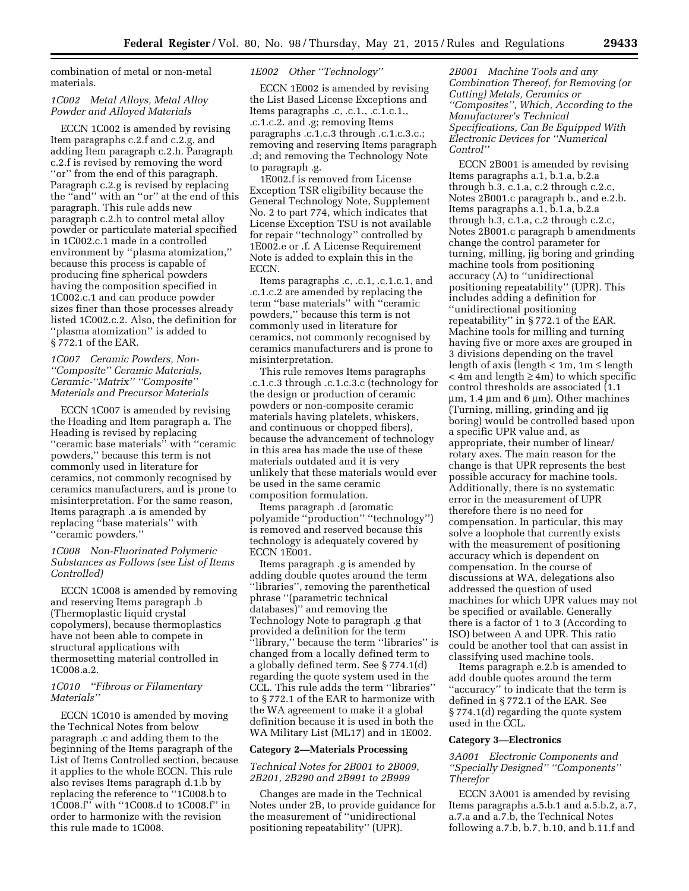combination of metal or non-metal materials.

### *1C002 Metal Alloys, Metal Alloy Powder and Alloyed Materials*

ECCN 1C002 is amended by revising Item paragraphs c.2.f and c.2.g, and adding Item paragraph c.2.h. Paragraph c.2.f is revised by removing the word ''or'' from the end of this paragraph. Paragraph c.2.g is revised by replacing the ''and'' with an ''or'' at the end of this paragraph. This rule adds new paragraph c.2.h to control metal alloy powder or particulate material specified in 1C002.c.1 made in a controlled environment by ''plasma atomization,'' because this process is capable of producing fine spherical powders having the composition specified in 1C002.c.1 and can produce powder sizes finer than those processes already listed 1C002.c.2. Also, the definition for ''plasma atomization'' is added to § 772.1 of the EAR.

# *1C007 Ceramic Powders, Non- ''Composite'' Ceramic Materials, Ceramic-''Matrix'' ''Composite'' Materials and Precursor Materials*

ECCN 1C007 is amended by revising the Heading and Item paragraph a. The Heading is revised by replacing ''ceramic base materials'' with ''ceramic powders,'' because this term is not commonly used in literature for ceramics, not commonly recognised by ceramics manufacturers, and is prone to misinterpretation. For the same reason, Items paragraph .a is amended by replacing ''base materials'' with ''ceramic powders.''

# *1C008 Non-Fluorinated Polymeric Substances as Follows (see List of Items Controlled)*

ECCN 1C008 is amended by removing and reserving Items paragraph .b (Thermoplastic liquid crystal copolymers), because thermoplastics have not been able to compete in structural applications with thermosetting material controlled in 1C008.a.2.

### *1C010 ''Fibrous or Filamentary Materials''*

ECCN 1C010 is amended by moving the Technical Notes from below paragraph .c and adding them to the beginning of the Items paragraph of the List of Items Controlled section, because it applies to the whole ECCN. This rule also revises Items paragraph d.1.b by replacing the reference to ''1C008.b to 1C008.f'' with ''1C008.d to 1C008.f'' in order to harmonize with the revision this rule made to 1C008.

### *1E002 Other ''Technology''*

ECCN 1E002 is amended by revising the List Based License Exceptions and Items paragraphs .c, .c.1., .c.1.c.1., .c.1.c.2. and .g; removing Items paragraphs .c.1.c.3 through .c.1.c.3.c.; removing and reserving Items paragraph .d; and removing the Technology Note to paragraph .g.

1E002.f is removed from License Exception TSR eligibility because the General Technology Note, Supplement No. 2 to part 774, which indicates that License Exception TSU is not available for repair ''technology'' controlled by 1E002.e or .f. A License Requirement Note is added to explain this in the ECCN.

Items paragraphs .c, .c.1, .c.1.c.1, and .c.1.c.2 are amended by replacing the term ''base materials'' with ''ceramic powders,'' because this term is not commonly used in literature for ceramics, not commonly recognised by ceramics manufacturers and is prone to misinterpretation.

This rule removes Items paragraphs .c.1.c.3 through .c.1.c.3.c (technology for the design or production of ceramic powders or non-composite ceramic materials having platelets, whiskers, and continuous or chopped fibers), because the advancement of technology in this area has made the use of these materials outdated and it is very unlikely that these materials would ever be used in the same ceramic composition formulation.

Items paragraph .d (aromatic polyamide ''production'' ''technology'') is removed and reserved because this technology is adequately covered by ECCN 1E001.

Items paragraph .g is amended by adding double quotes around the term ''libraries'', removing the parenthetical phrase ''(parametric technical databases)'' and removing the Technology Note to paragraph .g that provided a definition for the term ''library,'' because the term ''libraries'' is changed from a locally defined term to a globally defined term. See § 774.1(d) regarding the quote system used in the CCL. This rule adds the term ''libraries'' to § 772.1 of the EAR to harmonize with the WA agreement to make it a global definition because it is used in both the WA Military List (ML17) and in 1E002.

#### **Category 2—Materials Processing**

### *Technical Notes for 2B001 to 2B009, 2B201, 2B290 and 2B991 to 2B999*

Changes are made in the Technical Notes under 2B, to provide guidance for the measurement of ''unidirectional positioning repeatability'' (UPR).

*2B001 Machine Tools and any Combination Thereof, for Removing (or Cutting) Metals, Ceramics or ''Composites'', Which, According to the Manufacturer's Technical Specifications, Can Be Equipped With Electronic Devices for ''Numerical Control''* 

ECCN 2B001 is amended by revising Items paragraphs a.1, b.1.a, b.2.a through b.3, c.1.a, c.2 through c.2.c, Notes 2B001.c paragraph b., and e.2.b. Items paragraphs a.1, b.1.a, b.2.a through b.3, c.1.a, c.2 through c.2.c, Notes 2B001.c paragraph b amendments change the control parameter for turning, milling, jig boring and grinding machine tools from positioning accuracy (A) to ''unidirectional positioning repeatability'' (UPR). This includes adding a definition for ''unidirectional positioning repeatability'' in § 772.1 of the EAR. Machine tools for milling and turning having five or more axes are grouped in 3 divisions depending on the travel length of axis (length  $< 1m$ ,  $1m \leq$  length < 4m and length ≥ 4m) to which specific control thresholds are associated (1.1  $\mu$ m, 1.4  $\mu$ m and 6  $\mu$ m). Other machines (Turning, milling, grinding and jig boring) would be controlled based upon a specific UPR value and, as appropriate, their number of linear/ rotary axes. The main reason for the change is that UPR represents the best possible accuracy for machine tools. Additionally, there is no systematic error in the measurement of UPR therefore there is no need for compensation. In particular, this may solve a loophole that currently exists with the measurement of positioning accuracy which is dependent on compensation. In the course of discussions at WA, delegations also addressed the question of used machines for which UPR values may not be specified or available. Generally there is a factor of 1 to 3 (According to ISO) between A and UPR. This ratio could be another tool that can assist in classifying used machine tools.

Items paragraph e.2.b is amended to add double quotes around the term ''accuracy'' to indicate that the term is defined in § 772.1 of the EAR. See § 774.1(d) regarding the quote system used in the CCL.

### **Category 3—Electronics**

*3A001 Electronic Components and ''Specially Designed'' ''Components'' Therefor* 

ECCN 3A001 is amended by revising Items paragraphs a.5.b.1 and a.5.b.2, a.7, a.7.a and a.7.b, the Technical Notes following a.7.b, b.7, b.10, and b.11.f and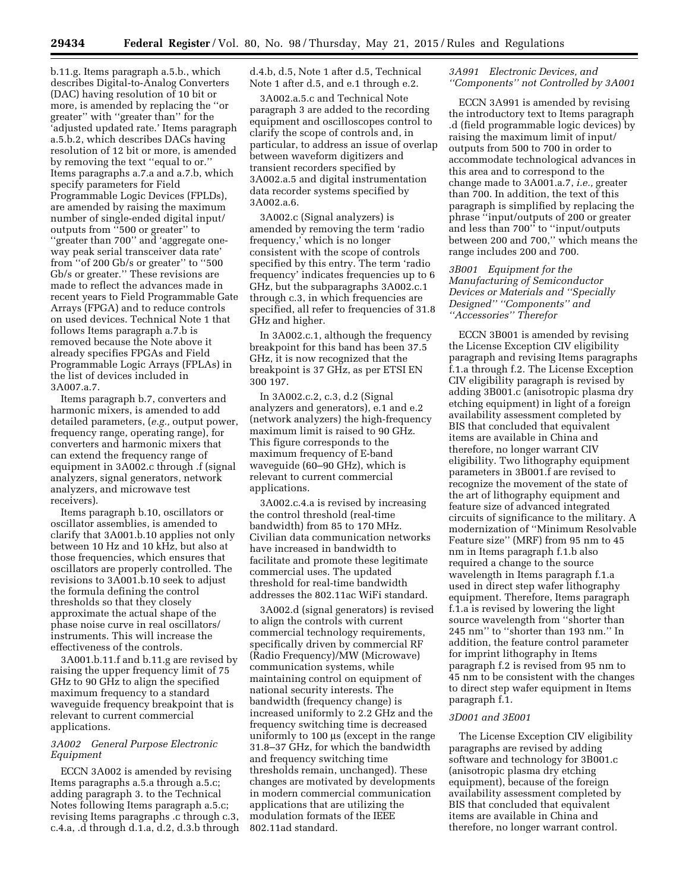b.11.g. Items paragraph a.5.b., which describes Digital-to-Analog Converters (DAC) having resolution of 10 bit or more, is amended by replacing the ''or greater'' with ''greater than'' for the 'adjusted updated rate.' Items paragraph a.5.b.2, which describes DACs having resolution of 12 bit or more, is amended by removing the text ''equal to or.'' Items paragraphs a.7.a and a.7.b, which specify parameters for Field Programmable Logic Devices (FPLDs), are amended by raising the maximum number of single-ended digital input/ outputs from ''500 or greater'' to ''greater than 700'' and 'aggregate oneway peak serial transceiver data rate' from ''of 200 Gb/s or greater'' to ''500 Gb/s or greater.'' These revisions are made to reflect the advances made in recent years to Field Programmable Gate Arrays (FPGA) and to reduce controls on used devices. Technical Note 1 that follows Items paragraph a.7.b is removed because the Note above it already specifies FPGAs and Field Programmable Logic Arrays (FPLAs) in the list of devices included in 3A007.a.7.

Items paragraph b.7, converters and harmonic mixers, is amended to add detailed parameters, (*e.g.,* output power, frequency range, operating range), for converters and harmonic mixers that can extend the frequency range of equipment in 3A002.c through .f (signal analyzers, signal generators, network analyzers, and microwave test receivers).

Items paragraph b.10, oscillators or oscillator assemblies, is amended to clarify that 3A001.b.10 applies not only between 10 Hz and 10 kHz, but also at those frequencies, which ensures that oscillators are properly controlled. The revisions to 3A001.b.10 seek to adjust the formula defining the control thresholds so that they closely approximate the actual shape of the phase noise curve in real oscillators/ instruments. This will increase the effectiveness of the controls.

3A001.b.11.f and b.11.g are revised by raising the upper frequency limit of 75 GHz to 90 GHz to align the specified maximum frequency to a standard waveguide frequency breakpoint that is relevant to current commercial applications.

### *3A002 General Purpose Electronic Equipment*

ECCN 3A002 is amended by revising Items paragraphs a.5.a through a.5.c; adding paragraph 3. to the Technical Notes following Items paragraph a.5.c; revising Items paragraphs .c through c.3, c.4.a, .d through d.1.a, d.2, d.3.b through d.4.b, d.5, Note 1 after d.5, Technical Note 1 after d.5, and e.1 through e.2.

3A002.a.5.c and Technical Note paragraph 3 are added to the recording equipment and oscilloscopes control to clarify the scope of controls and, in particular, to address an issue of overlap between waveform digitizers and transient recorders specified by 3A002.a.5 and digital instrumentation data recorder systems specified by 3A002.a.6.

3A002.c (Signal analyzers) is amended by removing the term 'radio frequency,' which is no longer consistent with the scope of controls specified by this entry. The term 'radio frequency' indicates frequencies up to 6 GHz, but the subparagraphs 3A002.c.1 through c.3, in which frequencies are specified, all refer to frequencies of 31.8 GHz and higher.

In 3A002.c.1, although the frequency breakpoint for this band has been 37.5 GHz, it is now recognized that the breakpoint is 37 GHz, as per ETSI EN 300 197.

In 3A002.c.2, c.3, d.2 (Signal analyzers and generators), e.1 and e.2 (network analyzers) the high-frequency maximum limit is raised to 90 GHz. This figure corresponds to the maximum frequency of E-band waveguide (60–90 GHz), which is relevant to current commercial applications.

3A002.c.4.a is revised by increasing the control threshold (real-time bandwidth) from 85 to 170 MHz. Civilian data communication networks have increased in bandwidth to facilitate and promote these legitimate commercial uses. The updated threshold for real-time bandwidth addresses the 802.11ac WiFi standard.

3A002.d (signal generators) is revised to align the controls with current commercial technology requirements, specifically driven by commercial RF (Radio Frequency)/MW (Microwave) communication systems, while maintaining control on equipment of national security interests. The bandwidth (frequency change) is increased uniformly to 2.2 GHz and the frequency switching time is decreased uniformly to 100 µs (except in the range 31.8–37 GHz, for which the bandwidth and frequency switching time thresholds remain, unchanged). These changes are motivated by developments in modern commercial communication applications that are utilizing the modulation formats of the IEEE 802.11ad standard.

### *3A991 Electronic Devices, and ''Components'' not Controlled by 3A001*

ECCN 3A991 is amended by revising the introductory text to Items paragraph .d (field programmable logic devices) by raising the maximum limit of input/ outputs from 500 to 700 in order to accommodate technological advances in this area and to correspond to the change made to 3A001.a.7, *i.e.,* greater than 700. In addition, the text of this paragraph is simplified by replacing the phrase ''input/outputs of 200 or greater and less than 700'' to ''input/outputs between 200 and 700,'' which means the range includes 200 and 700.

# *3B001 Equipment for the Manufacturing of Semiconductor Devices or Materials and ''Specially Designed'' ''Components'' and ''Accessories'' Therefor*

ECCN 3B001 is amended by revising the License Exception CIV eligibility paragraph and revising Items paragraphs f.1.a through f.2. The License Exception CIV eligibility paragraph is revised by adding 3B001.c (anisotropic plasma dry etching equipment) in light of a foreign availability assessment completed by BIS that concluded that equivalent items are available in China and therefore, no longer warrant CIV eligibility. Two lithography equipment parameters in 3B001.f are revised to recognize the movement of the state of the art of lithography equipment and feature size of advanced integrated circuits of significance to the military. A modernization of ''Minimum Resolvable Feature size'' (MRF) from 95 nm to 45 nm in Items paragraph f.1.b also required a change to the source wavelength in Items paragraph f.1.a used in direct step wafer lithography equipment. Therefore, Items paragraph f.1.a is revised by lowering the light source wavelength from ''shorter than 245 nm'' to ''shorter than 193 nm.'' In addition, the feature control parameter for imprint lithography in Items paragraph f.2 is revised from 95 nm to 45 nm to be consistent with the changes to direct step wafer equipment in Items paragraph f.1.

#### *3D001 and 3E001*

The License Exception CIV eligibility paragraphs are revised by adding software and technology for 3B001.c (anisotropic plasma dry etching equipment), because of the foreign availability assessment completed by BIS that concluded that equivalent items are available in China and therefore, no longer warrant control.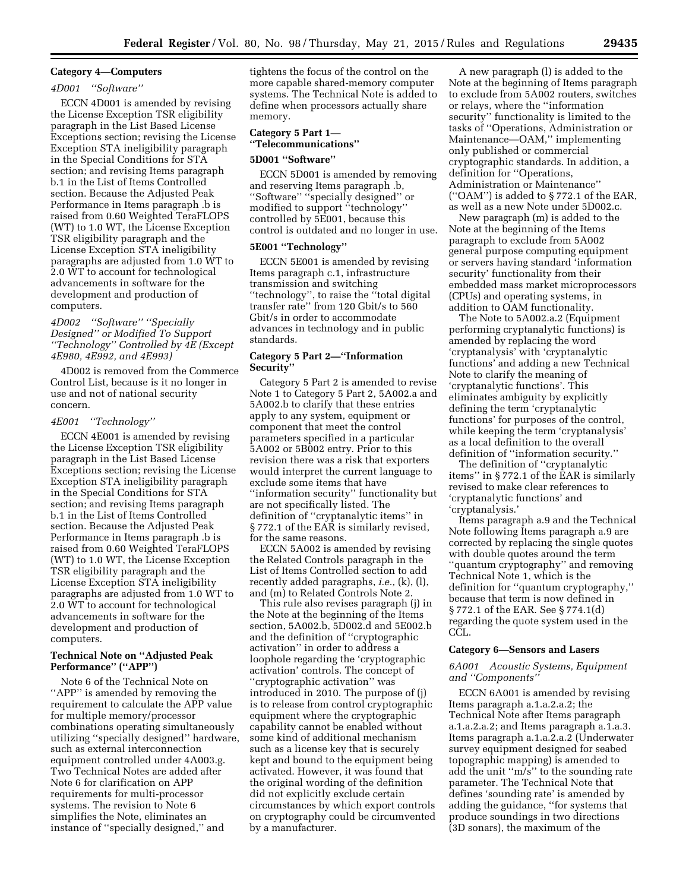#### **Category 4—Computers**

#### *4D001 ''Software''*

ECCN 4D001 is amended by revising the License Exception TSR eligibility paragraph in the List Based License Exceptions section; revising the License Exception STA ineligibility paragraph in the Special Conditions for STA section; and revising Items paragraph b.1 in the List of Items Controlled section. Because the Adjusted Peak Performance in Items paragraph .b is raised from 0.60 Weighted TeraFLOPS (WT) to 1.0 WT, the License Exception TSR eligibility paragraph and the License Exception STA ineligibility paragraphs are adjusted from 1.0 WT to 2.0 WT to account for technological advancements in software for the development and production of computers.

*4D002 ''Software'' ''Specially Designed'' or Modified To Support ''Technology'' Controlled by 4E (Except 4E980, 4E992, and 4E993)* 

4D002 is removed from the Commerce Control List, because is it no longer in use and not of national security concern.

#### *4E001 ''Technology''*

ECCN 4E001 is amended by revising the License Exception TSR eligibility paragraph in the List Based License Exceptions section; revising the License Exception STA ineligibility paragraph in the Special Conditions for STA section; and revising Items paragraph b.1 in the List of Items Controlled section. Because the Adjusted Peak Performance in Items paragraph .b is raised from 0.60 Weighted TeraFLOPS (WT) to 1.0 WT, the License Exception TSR eligibility paragraph and the License Exception STA ineligibility paragraphs are adjusted from 1.0 WT to 2.0 WT to account for technological advancements in software for the development and production of computers.

### **Technical Note on ''Adjusted Peak Performance'' (''APP'')**

Note 6 of the Technical Note on "APP" is amended by removing the requirement to calculate the APP value for multiple memory/processor combinations operating simultaneously utilizing ''specially designed'' hardware, such as external interconnection equipment controlled under 4A003.g. Two Technical Notes are added after Note 6 for clarification on APP requirements for multi-processor systems. The revision to Note 6 simplifies the Note, eliminates an instance of ''specially designed,'' and

tightens the focus of the control on the more capable shared-memory computer systems. The Technical Note is added to define when processors actually share memory.

# **Category 5 Part 1— ''Telecommunications''**

#### **5D001 ''Software''**

ECCN 5D001 is amended by removing and reserving Items paragraph .b, ''Software'' ''specially designed'' or modified to support ''technology'' controlled by 5E001, because this control is outdated and no longer in use.

# **5E001 ''Technology''**

ECCN 5E001 is amended by revising Items paragraph c.1, infrastructure transmission and switching ''technology'', to raise the ''total digital transfer rate'' from 120 Gbit/s to 560 Gbit/s in order to accommodate advances in technology and in public standards.

### **Category 5 Part 2—''Information Security''**

Category 5 Part 2 is amended to revise Note 1 to Category 5 Part 2, 5A002.a and 5A002.b to clarify that these entries apply to any system, equipment or component that meet the control parameters specified in a particular 5A002 or 5B002 entry. Prior to this revision there was a risk that exporters would interpret the current language to exclude some items that have ''information security'' functionality but are not specifically listed. The definition of ''cryptanalytic items'' in § 772.1 of the EAR is similarly revised, for the same reasons.

ECCN 5A002 is amended by revising the Related Controls paragraph in the List of Items Controlled section to add recently added paragraphs, *i.e.,* (k), (l), and (m) to Related Controls Note 2.

This rule also revises paragraph (j) in the Note at the beginning of the Items section, 5A002.b, 5D002.d and 5E002.b and the definition of ''cryptographic activation'' in order to address a loophole regarding the 'cryptographic activation' controls. The concept of ''cryptographic activation'' was introduced in 2010. The purpose of (j) is to release from control cryptographic equipment where the cryptographic capability cannot be enabled without some kind of additional mechanism such as a license key that is securely kept and bound to the equipment being activated. However, it was found that the original wording of the definition did not explicitly exclude certain circumstances by which export controls on cryptography could be circumvented by a manufacturer.

A new paragraph (l) is added to the Note at the beginning of Items paragraph to exclude from 5A002 routers, switches or relays, where the ''information security'' functionality is limited to the tasks of ''Operations, Administration or Maintenance—OAM,'' implementing only published or commercial cryptographic standards. In addition, a definition for ''Operations, Administration or Maintenance'' (''OAM'') is added to § 772.1 of the EAR, as well as a new Note under 5D002.c.

New paragraph (m) is added to the Note at the beginning of the Items paragraph to exclude from 5A002 general purpose computing equipment or servers having standard 'information security' functionality from their embedded mass market microprocessors (CPUs) and operating systems, in addition to OAM functionality.

The Note to 5A002.a.2 (Equipment performing cryptanalytic functions) is amended by replacing the word 'cryptanalysis' with 'cryptanalytic functions' and adding a new Technical Note to clarify the meaning of 'cryptanalytic functions'. This eliminates ambiguity by explicitly defining the term 'cryptanalytic functions' for purposes of the control, while keeping the term 'cryptanalysis' as a local definition to the overall definition of ''information security.''

The definition of ''cryptanalytic items'' in § 772.1 of the EAR is similarly revised to make clear references to 'cryptanalytic functions' and 'cryptanalysis.'

Items paragraph a.9 and the Technical Note following Items paragraph a.9 are corrected by replacing the single quotes with double quotes around the term ''quantum cryptography'' and removing Technical Note 1, which is the definition for ''quantum cryptography,'' because that term is now defined in § 772.1 of the EAR. See § 774.1(d) regarding the quote system used in the CCL.

### **Category 6—Sensors and Lasers**

#### *6A001 Acoustic Systems, Equipment and ''Components''*

ECCN 6A001 is amended by revising Items paragraph a.1.a.2.a.2; the Technical Note after Items paragraph a.1.a.2.a.2; and Items paragraph a.1.a.3. Items paragraph a.1.a.2.a.2 (Underwater survey equipment designed for seabed topographic mapping) is amended to add the unit ''m/s'' to the sounding rate parameter. The Technical Note that defines 'sounding rate' is amended by adding the guidance, ''for systems that produce soundings in two directions (3D sonars), the maximum of the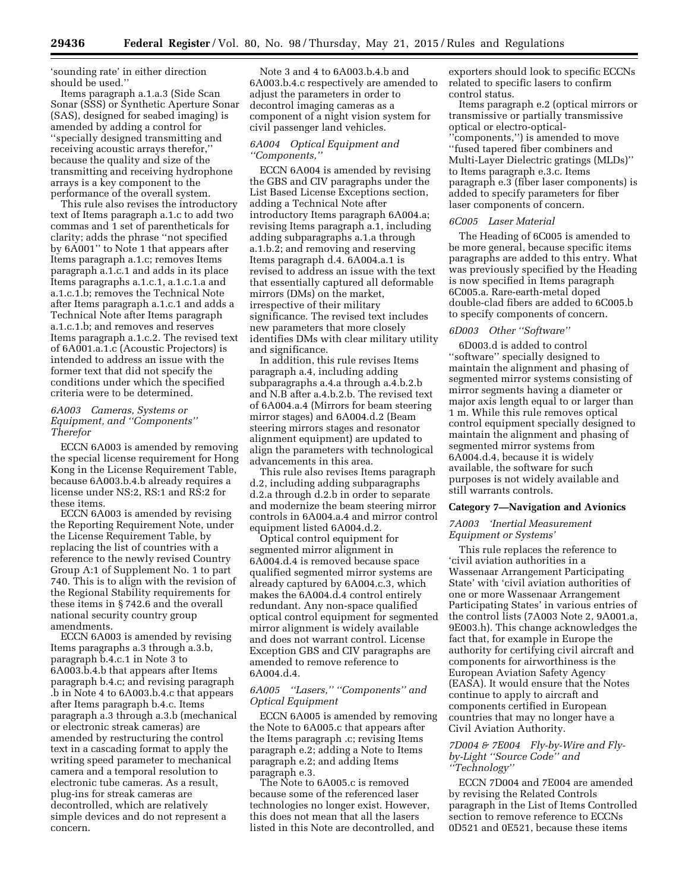'sounding rate' in either direction should be used.''

Items paragraph a.1.a.3 (Side Scan Sonar (SSS) or Synthetic Aperture Sonar (SAS), designed for seabed imaging) is amended by adding a control for ''specially designed transmitting and receiving acoustic arrays therefor,'' because the quality and size of the transmitting and receiving hydrophone arrays is a key component to the performance of the overall system.

This rule also revises the introductory text of Items paragraph a.1.c to add two commas and 1 set of parentheticals for clarity; adds the phrase ''not specified by 6A001'' to Note 1 that appears after Items paragraph a.1.c; removes Items paragraph a.1.c.1 and adds in its place Items paragraphs a.1.c.1, a.1.c.1.a and a.1.c.1.b; removes the Technical Note after Items paragraph a.1.c.1 and adds a Technical Note after Items paragraph a.1.c.1.b; and removes and reserves Items paragraph a.1.c.2. The revised text of 6A001.a.1.c (Acoustic Projectors) is intended to address an issue with the former text that did not specify the conditions under which the specified criteria were to be determined.

### *6A003 Cameras, Systems or Equipment, and ''Components'' Therefor*

ECCN 6A003 is amended by removing the special license requirement for Hong Kong in the License Requirement Table, because 6A003.b.4.b already requires a license under NS:2, RS:1 and RS:2 for these items.

ECCN 6A003 is amended by revising the Reporting Requirement Note, under the License Requirement Table, by replacing the list of countries with a reference to the newly revised Country Group A:1 of Supplement No. 1 to part 740. This is to align with the revision of the Regional Stability requirements for these items in § 742.6 and the overall national security country group amendments.

ECCN 6A003 is amended by revising Items paragraphs a.3 through a.3.b, paragraph b.4.c.1 in Note 3 to 6A003.b.4.b that appears after Items paragraph b.4.c; and revising paragraph .b in Note 4 to 6A003.b.4.c that appears after Items paragraph b.4.c. Items paragraph a.3 through a.3.b (mechanical or electronic streak cameras) are amended by restructuring the control text in a cascading format to apply the writing speed parameter to mechanical camera and a temporal resolution to electronic tube cameras. As a result, plug-ins for streak cameras are decontrolled, which are relatively simple devices and do not represent a concern.

Note 3 and 4 to 6A003.b.4.b and 6A003.b.4.c respectively are amended to adjust the parameters in order to decontrol imaging cameras as a component of a night vision system for civil passenger land vehicles.

#### *6A004 Optical Equipment and ''Components,''*

ECCN 6A004 is amended by revising the GBS and CIV paragraphs under the List Based License Exceptions section, adding a Technical Note after introductory Items paragraph 6A004.a; revising Items paragraph a.1, including adding subparagraphs a.1.a through a.1.b.2; and removing and reserving Items paragraph d.4. 6A004.a.1 is revised to address an issue with the text that essentially captured all deformable mirrors (DMs) on the market, irrespective of their military significance. The revised text includes new parameters that more closely identifies DMs with clear military utility and significance.

In addition, this rule revises Items paragraph a.4, including adding subparagraphs a.4.a through a.4.b.2.b and N.B after a.4.b.2.b. The revised text of 6A004.a.4 (Mirrors for beam steering mirror stages) and 6A004.d.2 (Beam steering mirrors stages and resonator alignment equipment) are updated to align the parameters with technological advancements in this area.

This rule also revises Items paragraph d.2, including adding subparagraphs d.2.a through d.2.b in order to separate and modernize the beam steering mirror controls in 6A004.a.4 and mirror control equipment listed 6A004.d.2.

Optical control equipment for segmented mirror alignment in 6A004.d.4 is removed because space qualified segmented mirror systems are already captured by 6A004.c.3, which makes the 6A004.d.4 control entirely redundant. Any non-space qualified optical control equipment for segmented mirror alignment is widely available and does not warrant control. License Exception GBS and CIV paragraphs are amended to remove reference to 6A004.d.4.

# *6A005 ''Lasers,'' ''Components'' and Optical Equipment*

ECCN 6A005 is amended by removing the Note to 6A005.c that appears after the Items paragraph .c; revising Items paragraph e.2; adding a Note to Items paragraph e.2; and adding Items paragraph e.3.

The Note to 6A005.c is removed because some of the referenced laser technologies no longer exist. However, this does not mean that all the lasers listed in this Note are decontrolled, and

exporters should look to specific ECCNs related to specific lasers to confirm control status.

Items paragraph e.2 (optical mirrors or transmissive or partially transmissive optical or electro-optical- ''components,'') is amended to move ''fused tapered fiber combiners and Multi-Layer Dielectric gratings (MLDs)'' to Items paragraph e.3.c. Items paragraph e.3 (fiber laser components) is added to specify parameters for fiber laser components of concern.

#### *6C005 Laser Material*

The Heading of 6C005 is amended to be more general, because specific items paragraphs are added to this entry. What was previously specified by the Heading is now specified in Items paragraph 6C005.a. Rare-earth-metal doped double-clad fibers are added to 6C005.b to specify components of concern.

#### *6D003 Other ''Software''*

6D003.d is added to control ''software'' specially designed to maintain the alignment and phasing of segmented mirror systems consisting of mirror segments having a diameter or major axis length equal to or larger than 1 m. While this rule removes optical control equipment specially designed to maintain the alignment and phasing of segmented mirror systems from 6A004.d.4, because it is widely available, the software for such purposes is not widely available and still warrants controls.

### **Category 7—Navigation and Avionics**

### *7A003 'Inertial Measurement Equipment or Systems'*

This rule replaces the reference to 'civil aviation authorities in a Wassenaar Arrangement Participating State' with 'civil aviation authorities of one or more Wassenaar Arrangement Participating States' in various entries of the control lists (7A003 Note 2, 9A001.a, 9E003.h). This change acknowledges the fact that, for example in Europe the authority for certifying civil aircraft and components for airworthiness is the European Aviation Safety Agency (EASA). It would ensure that the Notes continue to apply to aircraft and components certified in European countries that may no longer have a Civil Aviation Authority.

### *7D004 & 7E004 Fly-by-Wire and Flyby-Light ''Source Code'' and ''Technology''*

ECCN 7D004 and 7E004 are amended by revising the Related Controls paragraph in the List of Items Controlled section to remove reference to ECCNs 0D521 and 0E521, because these items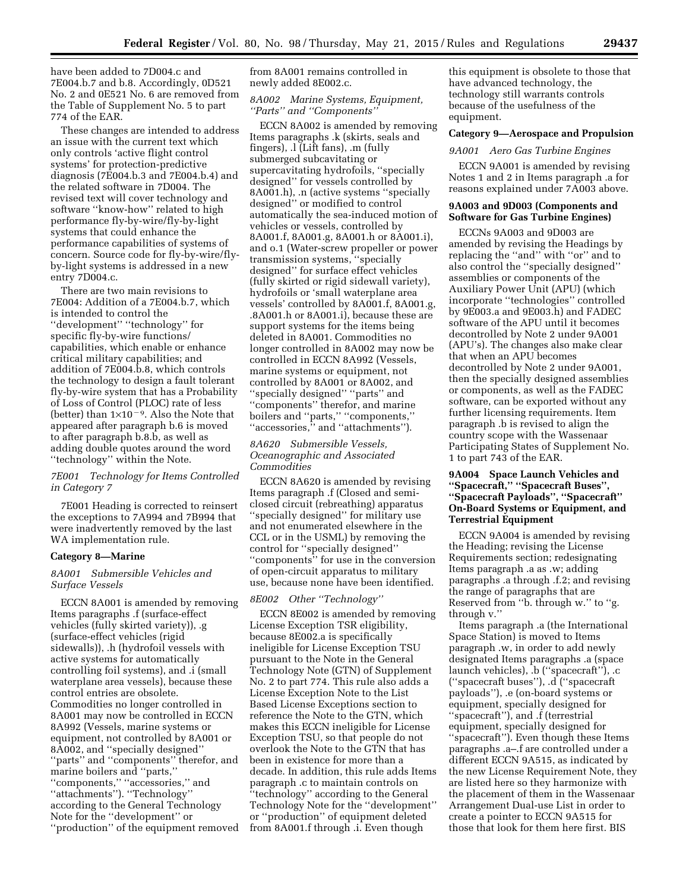have been added to 7D004.c and 7E004.b.7 and b.8. Accordingly, 0D521 No. 2 and 0E521 No. 6 are removed from the Table of Supplement No. 5 to part 774 of the EAR.

These changes are intended to address an issue with the current text which only controls 'active flight control systems' for protection-predictive diagnosis (7E004.b.3 and 7E004.b.4) and the related software in 7D004. The revised text will cover technology and software ''know-how'' related to high performance fly-by-wire/fly-by-light systems that could enhance the performance capabilities of systems of concern. Source code for fly-by-wire/flyby-light systems is addressed in a new entry 7D004.c.

There are two main revisions to 7E004: Addition of a 7E004.b.7, which is intended to control the ''development'' ''technology'' for specific fly-by-wire functions/ capabilities, which enable or enhance critical military capabilities; and addition of 7E004.b.8, which controls the technology to design a fault tolerant fly-by-wire system that has a Probability of Loss of Control (PLOC) rate of less (better) than  $1\times10^{-9}$ . Also the Note that appeared after paragraph b.6 is moved to after paragraph b.8.b, as well as adding double quotes around the word ''technology'' within the Note.

### *7E001 Technology for Items Controlled in Category 7*

7E001 Heading is corrected to reinsert the exceptions to 7A994 and 7B994 that were inadvertently removed by the last WA implementation rule.

## **Category 8—Marine**

### *8A001 Submersible Vehicles and Surface Vessels*

ECCN 8A001 is amended by removing Items paragraphs .f (surface-effect vehicles (fully skirted variety)), .g (surface-effect vehicles (rigid sidewalls)), .h (hydrofoil vessels with active systems for automatically controlling foil systems), and .i (small waterplane area vessels), because these control entries are obsolete. Commodities no longer controlled in 8A001 may now be controlled in ECCN 8A992 (Vessels, marine systems or equipment, not controlled by 8A001 or 8A002, and ''specially designed'' ''parts'' and ''components'' therefor, and marine boilers and ''parts,'' ''components,'' ''accessories,'' and ''attachments''). ''Technology'' according to the General Technology Note for the ''development'' or ''production'' of the equipment removed from 8A001 remains controlled in newly added 8E002.c.

# *8A002 Marine Systems, Equipment, ''Parts'' and ''Components''*

ECCN 8A002 is amended by removing Items paragraphs .k (skirts, seals and fingers), .l (Lift fans), .m (fully submerged subcavitating or supercavitating hydrofoils, ''specially designed'' for vessels controlled by 8A001.h), .n (active systems ''specially designed'' or modified to control automatically the sea-induced motion of vehicles or vessels, controlled by 8A001.f, 8A001.g, 8A001.h or 8A001.i), and o.1 (Water-screw propeller or power transmission systems, ''specially designed'' for surface effect vehicles (fully skirted or rigid sidewall variety), hydrofoils or 'small waterplane area vessels' controlled by 8A001.f, 8A001.g, .8A001.h or 8A001.i), because these are support systems for the items being deleted in 8A001. Commodities no longer controlled in 8A002 may now be controlled in ECCN 8A992 (Vessels, marine systems or equipment, not controlled by 8A001 or 8A002, and ''specially designed'' ''parts'' and ''components'' therefor, and marine boilers and ''parts,'' ''components,'' ''accessories,'' and ''attachments'').

# *8A620 Submersible Vessels, Oceanographic and Associated Commodities*

ECCN 8A620 is amended by revising Items paragraph .f (Closed and semiclosed circuit (rebreathing) apparatus ''specially designed'' for military use and not enumerated elsewhere in the CCL or in the USML) by removing the control for ''specially designed'' ''components'' for use in the conversion of open-circuit apparatus to military use, because none have been identified.

# *8E002 Other ''Technology''*

ECCN 8E002 is amended by removing License Exception TSR eligibility, because 8E002.a is specifically ineligible for License Exception TSU pursuant to the Note in the General Technology Note (GTN) of Supplement No. 2 to part 774. This rule also adds a License Exception Note to the List Based License Exceptions section to reference the Note to the GTN, which makes this ECCN ineligible for License Exception TSU, so that people do not overlook the Note to the GTN that has been in existence for more than a decade. In addition, this rule adds Items paragraph .c to maintain controls on ''technology'' according to the General Technology Note for the ''development'' or ''production'' of equipment deleted from 8A001.f through .i. Even though

this equipment is obsolete to those that have advanced technology, the technology still warrants controls because of the usefulness of the equipment.

### **Category 9—Aerospace and Propulsion**

### *9A001 Aero Gas Turbine Engines*

ECCN 9A001 is amended by revising Notes 1 and 2 in Items paragraph .a for reasons explained under 7A003 above.

### **9A003 and 9D003 (Components and Software for Gas Turbine Engines)**

ECCNs 9A003 and 9D003 are amended by revising the Headings by replacing the ''and'' with ''or'' and to also control the ''specially designed'' assemblies or components of the Auxiliary Power Unit (APU) (which incorporate ''technologies'' controlled by 9E003.a and 9E003.h) and FADEC software of the APU until it becomes decontrolled by Note 2 under 9A001 (APU's). The changes also make clear that when an APU becomes decontrolled by Note 2 under 9A001, then the specially designed assemblies or components, as well as the FADEC software, can be exported without any further licensing requirements. Item paragraph .b is revised to align the country scope with the Wassenaar Participating States of Supplement No. 1 to part 743 of the EAR.

# **9A004 Space Launch Vehicles and ''Spacecraft,'' ''Spacecraft Buses'', ''Spacecraft Payloads'', ''Spacecraft'' On-Board Systems or Equipment, and Terrestrial Equipment**

ECCN 9A004 is amended by revising the Heading; revising the License Requirements section; redesignating Items paragraph .a as .w; adding paragraphs .a through .f.2; and revising the range of paragraphs that are Reserved from ''b. through w.'' to ''g. through v.''

Items paragraph .a (the International Space Station) is moved to Items paragraph .w, in order to add newly designated Items paragraphs .a (space launch vehicles), .b (''spacecraft''), .c (''spacecraft buses''), .d (''spacecraft payloads''), .e (on-board systems or equipment, specially designed for ''spacecraft''), and .f (terrestrial equipment, specially designed for ''spacecraft''). Even though these Items paragraphs .a–.f are controlled under a different ECCN 9A515, as indicated by the new License Requirement Note, they are listed here so they harmonize with the placement of them in the Wassenaar Arrangement Dual-use List in order to create a pointer to ECCN 9A515 for those that look for them here first. BIS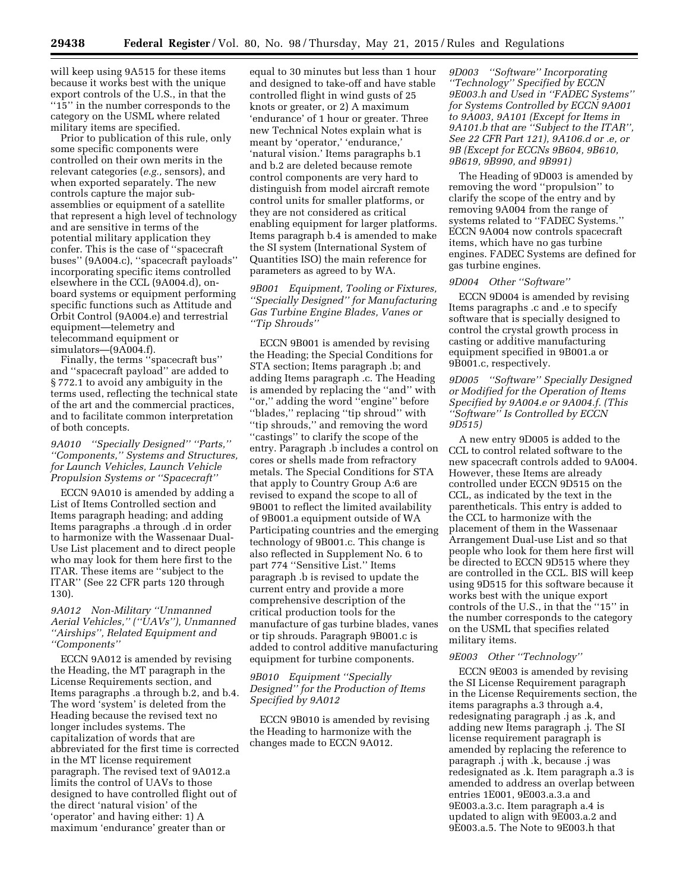will keep using 9A515 for these items because it works best with the unique export controls of the U.S., in that the "15" in the number corresponds to the category on the USML where related military items are specified.

Prior to publication of this rule, only some specific components were controlled on their own merits in the relevant categories (*e.g.,* sensors), and when exported separately. The new controls capture the major subassemblies or equipment of a satellite that represent a high level of technology and are sensitive in terms of the potential military application they confer. This is the case of ''spacecraft buses'' (9A004.c), ''spacecraft payloads'' incorporating specific items controlled elsewhere in the CCL (9A004.d), onboard systems or equipment performing specific functions such as Attitude and Orbit Control (9A004.e) and terrestrial equipment—telemetry and telecommand equipment or simulators—(9A004.f).

Finally, the terms ''spacecraft bus'' and ''spacecraft payload'' are added to § 772.1 to avoid any ambiguity in the terms used, reflecting the technical state of the art and the commercial practices, and to facilitate common interpretation of both concepts.

*9A010 ''Specially Designed'' ''Parts,'' ''Components,'' Systems and Structures, for Launch Vehicles, Launch Vehicle Propulsion Systems or ''Spacecraft''* 

ECCN 9A010 is amended by adding a List of Items Controlled section and Items paragraph heading; and adding Items paragraphs .a through .d in order to harmonize with the Wassenaar Dual-Use List placement and to direct people who may look for them here first to the ITAR. These items are ''subject to the ITAR'' (See 22 CFR parts 120 through 130).

# *9A012 Non-Military ''Unmanned Aerial Vehicles,'' (''UAVs''), Unmanned ''Airships'', Related Equipment and ''Components''*

ECCN 9A012 is amended by revising the Heading, the MT paragraph in the License Requirements section, and Items paragraphs .a through b.2, and b.4. The word 'system' is deleted from the Heading because the revised text no longer includes systems. The capitalization of words that are abbreviated for the first time is corrected in the MT license requirement paragraph. The revised text of 9A012.a limits the control of UAVs to those designed to have controlled flight out of the direct 'natural vision' of the 'operator' and having either: 1) A maximum 'endurance' greater than or

equal to 30 minutes but less than 1 hour and designed to take-off and have stable controlled flight in wind gusts of 25 knots or greater, or 2) A maximum 'endurance' of 1 hour or greater. Three new Technical Notes explain what is meant by 'operator,' 'endurance,' 'natural vision.' Items paragraphs b.1 and b.2 are deleted because remote control components are very hard to distinguish from model aircraft remote control units for smaller platforms, or they are not considered as critical enabling equipment for larger platforms. Items paragraph b.4 is amended to make the SI system (International System of Quantities ISO) the main reference for parameters as agreed to by WA.

*9B001 Equipment, Tooling or Fixtures, ''Specially Designed'' for Manufacturing Gas Turbine Engine Blades, Vanes or ''Tip Shrouds''* 

ECCN 9B001 is amended by revising the Heading; the Special Conditions for STA section; Items paragraph .b; and adding Items paragraph .c. The Heading is amended by replacing the ''and'' with ''or,'' adding the word ''engine'' before ''blades,'' replacing ''tip shroud'' with ''tip shrouds,'' and removing the word ''castings'' to clarify the scope of the entry. Paragraph .b includes a control on cores or shells made from refractory metals. The Special Conditions for STA that apply to Country Group A:6 are revised to expand the scope to all of 9B001 to reflect the limited availability of 9B001.a equipment outside of WA Participating countries and the emerging technology of 9B001.c. This change is also reflected in Supplement No. 6 to part 774 ''Sensitive List.'' Items paragraph .b is revised to update the current entry and provide a more comprehensive description of the critical production tools for the manufacture of gas turbine blades, vanes or tip shrouds. Paragraph 9B001.c is added to control additive manufacturing equipment for turbine components.

# *9B010 Equipment ''Specially Designed'' for the Production of Items Specified by 9A012*

ECCN 9B010 is amended by revising the Heading to harmonize with the changes made to ECCN 9A012.

*9D003 ''Software'' Incorporating ''Technology'' Specified by ECCN 9E003.h and Used in ''FADEC Systems'' for Systems Controlled by ECCN 9A001 to 9A003, 9A101 (Except for Items in 9A101.b that are ''Subject to the ITAR'', See 22 CFR Part 121), 9A106.d or .e, or 9B (Except for ECCNs 9B604, 9B610, 9B619, 9B990, and 9B991)* 

The Heading of 9D003 is amended by removing the word ''propulsion'' to clarify the scope of the entry and by removing 9A004 from the range of systems related to ''FADEC Systems.'' ECCN 9A004 now controls spacecraft items, which have no gas turbine engines. FADEC Systems are defined for gas turbine engines.

#### *9D004 Other ''Software''*

ECCN 9D004 is amended by revising Items paragraphs .c and .e to specify software that is specially designed to control the crystal growth process in casting or additive manufacturing equipment specified in 9B001.a or 9B001.c, respectively.

*9D005 ''Software'' Specially Designed or Modified for the Operation of Items Specified by 9A004.e or 9A004.f. (This ''Software'' Is Controlled by ECCN 9D515)* 

A new entry 9D005 is added to the CCL to control related software to the new spacecraft controls added to 9A004. However, these Items are already controlled under ECCN 9D515 on the CCL, as indicated by the text in the parentheticals. This entry is added to the CCL to harmonize with the placement of them in the Wassenaar Arrangement Dual-use List and so that people who look for them here first will be directed to ECCN 9D515 where they are controlled in the CCL. BIS will keep using 9D515 for this software because it works best with the unique export controls of the U.S., in that the ''15'' in the number corresponds to the category on the USML that specifies related military items.

### *9E003 Other ''Technology''*

ECCN 9E003 is amended by revising the SI License Requirement paragraph in the License Requirements section, the items paragraphs a.3 through a.4, redesignating paragraph .j as .k, and adding new Items paragraph .j. The SI license requirement paragraph is amended by replacing the reference to paragraph .j with .k, because .j was redesignated as .k. Item paragraph a.3 is amended to address an overlap between entries 1E001, 9E003.a.3.a and 9E003.a.3.c. Item paragraph a.4 is updated to align with 9E003.a.2 and 9E003.a.5. The Note to 9E003.h that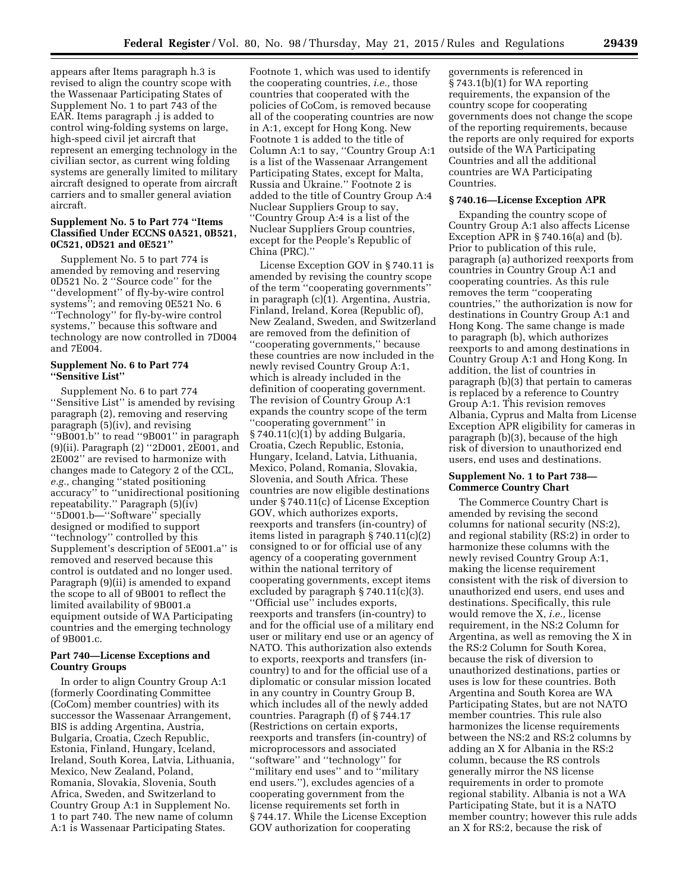appears after Items paragraph h.3 is revised to align the country scope with the Wassenaar Participating States of Supplement No. 1 to part 743 of the EAR. Items paragraph .j is added to control wing-folding systems on large, high-speed civil jet aircraft that represent an emerging technology in the civilian sector, as current wing folding systems are generally limited to military aircraft designed to operate from aircraft carriers and to smaller general aviation aircraft.

### **Supplement No. 5 to Part 774 ''Items Classified Under ECCNS 0A521, 0B521, 0C521, 0D521 and 0E521''**

Supplement No. 5 to part 774 is amended by removing and reserving 0D521 No. 2 ''Source code'' for the ''development'' of fly-by-wire control systems''; and removing 0E521 No. 6 ''Technology'' for fly-by-wire control systems,'' because this software and technology are now controlled in 7D004 and 7E004.

### **Supplement No. 6 to Part 774 ''Sensitive List''**

Supplement No. 6 to part 774 ''Sensitive List'' is amended by revising paragraph (2), removing and reserving paragraph (5)(iv), and revising ''9B001.b'' to read ''9B001'' in paragraph (9)(ii). Paragraph (2) ''2D001, 2E001, and 2E002'' are revised to harmonize with changes made to Category 2 of the CCL, *e.g.,* changing ''stated positioning accuracy'' to ''unidirectional positioning repeatability.'' Paragraph (5)(iv) ''5D001.b—''Software'' specially designed or modified to support ''technology'' controlled by this Supplement's description of 5E001.a'' is removed and reserved because this control is outdated and no longer used. Paragraph (9)(ii) is amended to expand the scope to all of 9B001 to reflect the limited availability of 9B001.a equipment outside of WA Participating countries and the emerging technology of 9B001.c.

# **Part 740—License Exceptions and Country Groups**

In order to align Country Group A:1 (formerly Coordinating Committee (CoCom) member countries) with its successor the Wassenaar Arrangement, BIS is adding Argentina, Austria, Bulgaria, Croatia, Czech Republic, Estonia, Finland, Hungary, Iceland, Ireland, South Korea, Latvia, Lithuania, Mexico, New Zealand, Poland, Romania, Slovakia, Slovenia, South Africa, Sweden, and Switzerland to Country Group A:1 in Supplement No. 1 to part 740. The new name of column A:1 is Wassenaar Participating States.

Footnote 1, which was used to identify the cooperating countries, *i.e.,* those countries that cooperated with the policies of CoCom, is removed because all of the cooperating countries are now in A:1, except for Hong Kong. New Footnote 1 is added to the title of Column A:1 to say, ''Country Group A:1 is a list of the Wassenaar Arrangement Participating States, except for Malta, Russia and Ukraine.'' Footnote 2 is added to the title of Country Group A:4 Nuclear Suppliers Group to say, ''Country Group A:4 is a list of the Nuclear Suppliers Group countries, except for the People's Republic of China (PRC).''

License Exception GOV in § 740.11 is amended by revising the country scope of the term ''cooperating governments'' in paragraph (c)(1). Argentina, Austria, Finland, Ireland, Korea (Republic of), New Zealand, Sweden, and Switzerland are removed from the definition of ''cooperating governments,'' because these countries are now included in the newly revised Country Group A:1, which is already included in the definition of cooperating government. The revision of Country Group A:1 expands the country scope of the term ''cooperating government'' in § 740.11(c)(1) by adding Bulgaria, Croatia, Czech Republic, Estonia, Hungary, Iceland, Latvia, Lithuania, Mexico, Poland, Romania, Slovakia, Slovenia, and South Africa. These countries are now eligible destinations under § 740.11(c) of License Exception GOV, which authorizes exports, reexports and transfers (in-country) of items listed in paragraph § 740.11(c)(2) consigned to or for official use of any agency of a cooperating government within the national territory of cooperating governments, except items excluded by paragraph § 740.11 $(c)(3)$ . ''Official use'' includes exports, reexports and transfers (in-country) to and for the official use of a military end user or military end use or an agency of NATO. This authorization also extends to exports, reexports and transfers (incountry) to and for the official use of a diplomatic or consular mission located in any country in Country Group B, which includes all of the newly added countries. Paragraph (f) of § 744.17 (Restrictions on certain exports, reexports and transfers (in-country) of microprocessors and associated ''software'' and ''technology'' for ''military end uses'' and to ''military end users.''), excludes agencies of a cooperating government from the license requirements set forth in § 744.17. While the License Exception GOV authorization for cooperating

governments is referenced in § 743.1(b)(1) for WA reporting requirements, the expansion of the country scope for cooperating governments does not change the scope of the reporting requirements, because the reports are only required for exports outside of the WA Participating Countries and all the additional countries are WA Participating Countries.

#### **§ 740.16—License Exception APR**

Expanding the country scope of Country Group A:1 also affects License Exception APR in  $\S$  740.16(a) and (b). Prior to publication of this rule, paragraph (a) authorized reexports from countries in Country Group A:1 and cooperating countries. As this rule removes the term ''cooperating countries,'' the authorization is now for destinations in Country Group A:1 and Hong Kong. The same change is made to paragraph (b), which authorizes reexports to and among destinations in Country Group A:1 and Hong Kong. In addition, the list of countries in paragraph (b)(3) that pertain to cameras is replaced by a reference to Country Group A:1. This revision removes Albania, Cyprus and Malta from License Exception APR eligibility for cameras in paragraph (b)(3), because of the high risk of diversion to unauthorized end users, end uses and destinations.

#### **Supplement No. 1 to Part 738— Commerce Country Chart**

The Commerce Country Chart is amended by revising the second columns for national security (NS:2), and regional stability (RS:2) in order to harmonize these columns with the newly revised Country Group A:1, making the license requirement consistent with the risk of diversion to unauthorized end users, end uses and destinations. Specifically, this rule would remove the X, *i.e.,* license requirement, in the NS:2 Column for Argentina, as well as removing the X in the RS:2 Column for South Korea, because the risk of diversion to unauthorized destinations, parties or uses is low for these countries. Both Argentina and South Korea are WA Participating States, but are not NATO member countries. This rule also harmonizes the license requirements between the NS:2 and RS:2 columns by adding an X for Albania in the RS:2 column, because the RS controls generally mirror the NS license requirements in order to promote regional stability. Albania is not a WA Participating State, but it is a NATO member country; however this rule adds an X for RS:2, because the risk of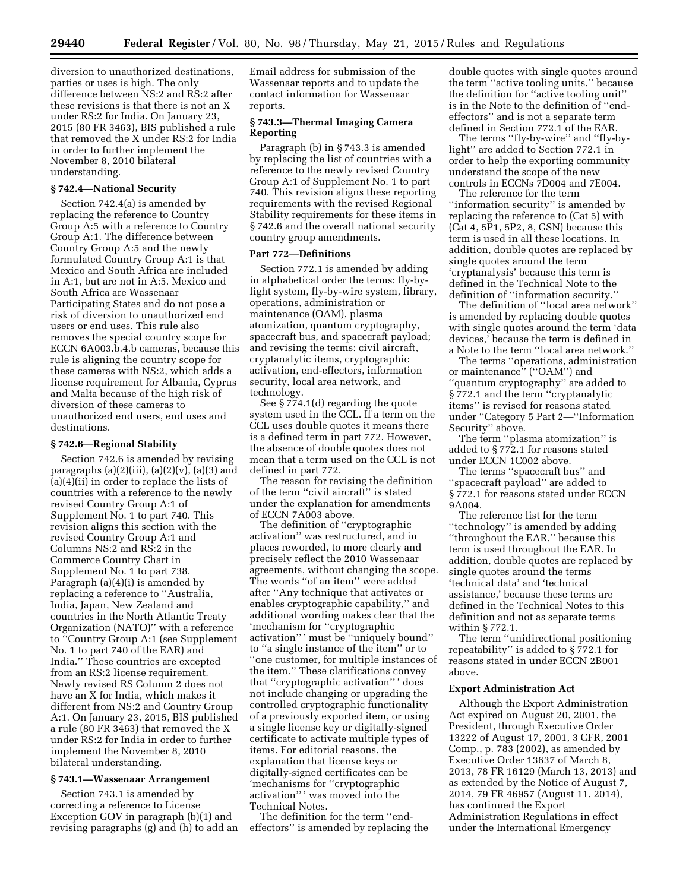diversion to unauthorized destinations, parties or uses is high. The only difference between NS:2 and RS:2 after these revisions is that there is not an X under RS:2 for India. On January 23, 2015 (80 FR 3463), BIS published a rule that removed the X under RS:2 for India in order to further implement the November 8, 2010 bilateral understanding.

#### **§ 742.4—National Security**

Section 742.4(a) is amended by replacing the reference to Country Group A:5 with a reference to Country Group A:1. The difference between Country Group A:5 and the newly formulated Country Group A:1 is that Mexico and South Africa are included in A:1, but are not in A:5. Mexico and South Africa are Wassenaar Participating States and do not pose a risk of diversion to unauthorized end users or end uses. This rule also removes the special country scope for ECCN 6A003.b.4.b cameras, because this rule is aligning the country scope for these cameras with NS:2, which adds a license requirement for Albania, Cyprus and Malta because of the high risk of diversion of these cameras to unauthorized end users, end uses and destinations.

#### **§ 742.6—Regional Stability**

Section 742.6 is amended by revising paragraphs  $(a)(2)(iii)$ ,  $(a)(2)(v)$ ,  $(a)(3)$  and  $\bar{a}$ (a)(4) $\bar{b}$  in order to replace the lists of countries with a reference to the newly revised Country Group A:1 of Supplement No. 1 to part 740. This revision aligns this section with the revised Country Group A:1 and Columns NS:2 and RS:2 in the Commerce Country Chart in Supplement No. 1 to part 738. Paragraph (a)(4)(i) is amended by replacing a reference to ''Australia, India, Japan, New Zealand and countries in the North Atlantic Treaty Organization (NATO)'' with a reference to ''Country Group A:1 (see Supplement No. 1 to part 740 of the EAR) and India.'' These countries are excepted from an RS:2 license requirement. Newly revised RS Column 2 does not have an X for India, which makes it different from NS:2 and Country Group A:1. On January 23, 2015, BIS published a rule (80 FR 3463) that removed the X under RS:2 for India in order to further implement the November 8, 2010 bilateral understanding.

#### **§ 743.1—Wassenaar Arrangement**

Section 743.1 is amended by correcting a reference to License Exception GOV in paragraph (b)(1) and revising paragraphs (g) and (h) to add an

Email address for submission of the Wassenaar reports and to update the contact information for Wassenaar reports.

### **§ 743.3—Thermal Imaging Camera Reporting**

Paragraph (b) in § 743.3 is amended by replacing the list of countries with a reference to the newly revised Country Group A:1 of Supplement No. 1 to part 740. This revision aligns these reporting requirements with the revised Regional Stability requirements for these items in § 742.6 and the overall national security country group amendments.

### **Part 772—Definitions**

Section 772.1 is amended by adding in alphabetical order the terms: fly-bylight system, fly-by-wire system, library, operations, administration or maintenance (OAM), plasma atomization, quantum cryptography, spacecraft bus, and spacecraft payload; and revising the terms: civil aircraft, cryptanalytic items, cryptographic activation, end-effectors, information security, local area network, and technology.

See § 774.1(d) regarding the quote system used in the CCL. If a term on the CCL uses double quotes it means there is a defined term in part 772. However, the absence of double quotes does not mean that a term used on the CCL is not defined in part 772.

The reason for revising the definition of the term ''civil aircraft'' is stated under the explanation for amendments of ECCN 7A003 above.

The definition of ''cryptographic activation'' was restructured, and in places reworded, to more clearly and precisely reflect the 2010 Wassenaar agreements, without changing the scope. The words ''of an item'' were added after ''Any technique that activates or enables cryptographic capability,'' and additional wording makes clear that the 'mechanism for ''cryptographic activation'' ' must be ''uniquely bound'' to ''a single instance of the item'' or to ''one customer, for multiple instances of the item.'' These clarifications convey that ''cryptographic activation'' ' does not include changing or upgrading the controlled cryptographic functionality of a previously exported item, or using a single license key or digitally-signed certificate to activate multiple types of items. For editorial reasons, the explanation that license keys or digitally-signed certificates can be 'mechanisms for ''cryptographic activation'' ' was moved into the Technical Notes.

The definition for the term ''endeffectors'' is amended by replacing the

double quotes with single quotes around the term ''active tooling units,'' because the definition for ''active tooling unit'' is in the Note to the definition of ''endeffectors'' and is not a separate term defined in Section 772.1 of the EAR.

The terms ''fly-by-wire'' and ''fly-bylight'' are added to Section 772.1 in order to help the exporting community understand the scope of the new controls in ECCNs 7D004 and 7E004.

The reference for the term ''information security'' is amended by replacing the reference to (Cat 5) with (Cat 4, 5P1, 5P2, 8, GSN) because this term is used in all these locations. In addition, double quotes are replaced by single quotes around the term 'cryptanalysis' because this term is defined in the Technical Note to the definition of ''information security.''

The definition of ''local area network'' is amended by replacing double quotes with single quotes around the term 'data devices,' because the term is defined in a Note to the term ''local area network.''

The terms ''operations, administration or maintenance" ("OAM") and ''quantum cryptography'' are added to § 772.1 and the term ''cryptanalytic items'' is revised for reasons stated under ''Category 5 Part 2—''Information Security'' above.

The term ''plasma atomization'' is added to § 772.1 for reasons stated under ECCN 1C002 above.

The terms ''spacecraft bus'' and ''spacecraft payload'' are added to § 772.1 for reasons stated under ECCN 9A004.

The reference list for the term ''technology'' is amended by adding ''throughout the EAR,'' because this term is used throughout the EAR. In addition, double quotes are replaced by single quotes around the terms 'technical data' and 'technical assistance,' because these terms are defined in the Technical Notes to this definition and not as separate terms within § 772.1.

The term ''unidirectional positioning repeatability'' is added to § 772.1 for reasons stated in under ECCN 2B001 above.

#### **Export Administration Act**

Although the Export Administration Act expired on August 20, 2001, the President, through Executive Order 13222 of August 17, 2001, 3 CFR, 2001 Comp., p. 783 (2002), as amended by Executive Order 13637 of March 8, 2013, 78 FR 16129 (March 13, 2013) and as extended by the Notice of August 7, 2014, 79 FR 46957 (August 11, 2014), has continued the Export Administration Regulations in effect under the International Emergency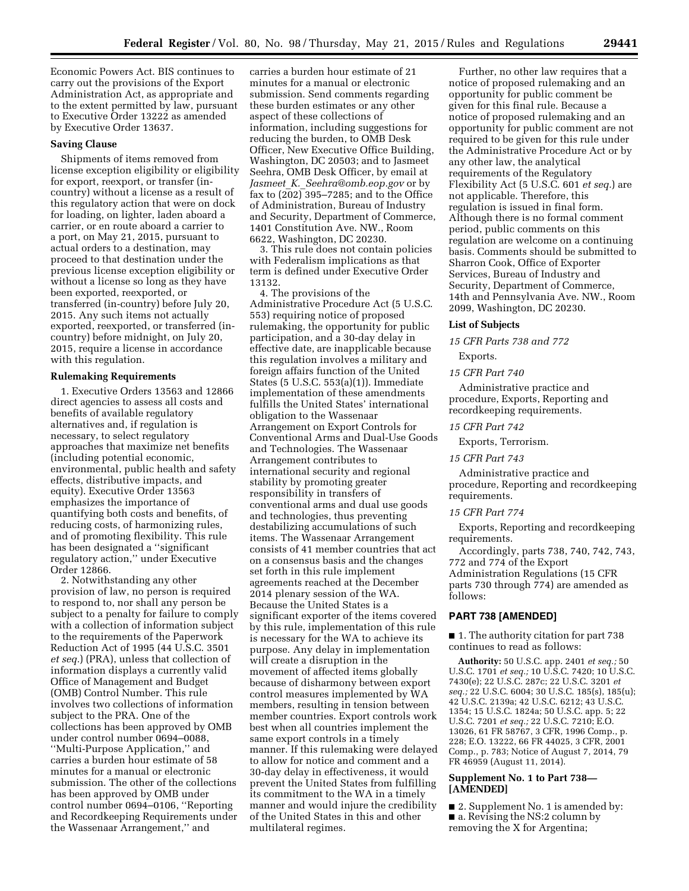Economic Powers Act. BIS continues to carry out the provisions of the Export Administration Act, as appropriate and to the extent permitted by law, pursuant to Executive Order 13222 as amended by Executive Order 13637.

#### **Saving Clause**

Shipments of items removed from license exception eligibility or eligibility for export, reexport, or transfer (incountry) without a license as a result of this regulatory action that were on dock for loading, on lighter, laden aboard a carrier, or en route aboard a carrier to a port, on May 21, 2015, pursuant to actual orders to a destination, may proceed to that destination under the previous license exception eligibility or without a license so long as they have been exported, reexported, or transferred (in-country) before July 20, 2015. Any such items not actually exported, reexported, or transferred (incountry) before midnight, on July 20, 2015, require a license in accordance with this regulation.

#### **Rulemaking Requirements**

1. Executive Orders 13563 and 12866 direct agencies to assess all costs and benefits of available regulatory alternatives and, if regulation is necessary, to select regulatory approaches that maximize net benefits (including potential economic, environmental, public health and safety effects, distributive impacts, and equity). Executive Order 13563 emphasizes the importance of quantifying both costs and benefits, of reducing costs, of harmonizing rules, and of promoting flexibility. This rule has been designated a ''significant regulatory action,'' under Executive Order 12866.

2. Notwithstanding any other provision of law, no person is required to respond to, nor shall any person be subject to a penalty for failure to comply with a collection of information subject to the requirements of the Paperwork Reduction Act of 1995 (44 U.S.C. 3501 *et seq.*) (PRA), unless that collection of information displays a currently valid Office of Management and Budget (OMB) Control Number. This rule involves two collections of information subject to the PRA. One of the collections has been approved by OMB under control number 0694–0088, ''Multi-Purpose Application,'' and carries a burden hour estimate of 58 minutes for a manual or electronic submission. The other of the collections has been approved by OMB under control number 0694–0106, ''Reporting and Recordkeeping Requirements under the Wassenaar Arrangement,'' and

carries a burden hour estimate of 21 minutes for a manual or electronic submission. Send comments regarding these burden estimates or any other aspect of these collections of information, including suggestions for reducing the burden, to OMB Desk Officer, New Executive Office Building, Washington, DC 20503; and to Jasmeet Seehra, OMB Desk Officer, by email at *Jasmeet*\_*K.*\_*[Seehra@omb.eop.gov](mailto:Jasmeet_K._Seehra@omb.eop.gov)* or by fax to  $(202)$  395–7285; and to the Office of Administration, Bureau of Industry and Security, Department of Commerce, 1401 Constitution Ave. NW., Room 6622, Washington, DC 20230.

3. This rule does not contain policies with Federalism implications as that term is defined under Executive Order 13132.

4. The provisions of the Administrative Procedure Act (5 U.S.C. 553) requiring notice of proposed rulemaking, the opportunity for public participation, and a 30-day delay in effective date, are inapplicable because this regulation involves a military and foreign affairs function of the United States (5 U.S.C. 553(a)(1)). Immediate implementation of these amendments fulfills the United States' international obligation to the Wassenaar Arrangement on Export Controls for Conventional Arms and Dual-Use Goods and Technologies. The Wassenaar Arrangement contributes to international security and regional stability by promoting greater responsibility in transfers of conventional arms and dual use goods and technologies, thus preventing destabilizing accumulations of such items. The Wassenaar Arrangement consists of 41 member countries that act on a consensus basis and the changes set forth in this rule implement agreements reached at the December 2014 plenary session of the WA. Because the United States is a significant exporter of the items covered by this rule, implementation of this rule is necessary for the WA to achieve its purpose. Any delay in implementation will create a disruption in the movement of affected items globally because of disharmony between export control measures implemented by WA members, resulting in tension between member countries. Export controls work best when all countries implement the same export controls in a timely manner. If this rulemaking were delayed to allow for notice and comment and a 30-day delay in effectiveness, it would prevent the United States from fulfilling its commitment to the WA in a timely manner and would injure the credibility of the United States in this and other multilateral regimes.

Further, no other law requires that a notice of proposed rulemaking and an opportunity for public comment be given for this final rule. Because a notice of proposed rulemaking and an opportunity for public comment are not required to be given for this rule under the Administrative Procedure Act or by any other law, the analytical requirements of the Regulatory Flexibility Act (5 U.S.C. 601 *et seq.*) are not applicable. Therefore, this regulation is issued in final form. Although there is no formal comment period, public comments on this regulation are welcome on a continuing basis. Comments should be submitted to Sharron Cook, Office of Exporter Services, Bureau of Industry and Security, Department of Commerce, 14th and Pennsylvania Ave. NW., Room 2099, Washington, DC 20230.

#### **List of Subjects**

*15 CFR Parts 738 and 772*  Exports.

#### *15 CFR Part 740*

Administrative practice and procedure, Exports, Reporting and recordkeeping requirements.

#### *15 CFR Part 742*

Exports, Terrorism.

### *15 CFR Part 743*

Administrative practice and procedure, Reporting and recordkeeping requirements.

#### *15 CFR Part 774*

Exports, Reporting and recordkeeping requirements.

Accordingly, parts 738, 740, 742, 743, 772 and 774 of the Export Administration Regulations (15 CFR parts 730 through 774) are amended as follows:

#### **PART 738 [AMENDED]**

■ 1. The authority citation for part 738 continues to read as follows:

**Authority:** 50 U.S.C. app. 2401 *et seq.;* 50 U.S.C. 1701 *et seq.;* 10 U.S.C. 7420; 10 U.S.C. 7430(e); 22 U.S.C. 287c; 22 U.S.C. 3201 *et seq.;* 22 U.S.C. 6004; 30 U.S.C. 185(s), 185(u); 42 U.S.C. 2139a; 42 U.S.C. 6212; 43 U.S.C. 1354; 15 U.S.C. 1824a; 50 U.S.C. app. 5; 22 U.S.C. 7201 *et seq.;* 22 U.S.C. 7210; E.O. 13026, 61 FR 58767, 3 CFR, 1996 Comp., p. 228; E.O. 13222, 66 FR 44025, 3 CFR, 2001 Comp., p. 783; Notice of August 7, 2014, 79 FR 46959 (August 11, 2014).

### **Supplement No. 1 to Part 738— [AMENDED]**

■ 2. Supplement No. 1 is amended by: ■ a. Revising the NS:2 column by removing the X for Argentina;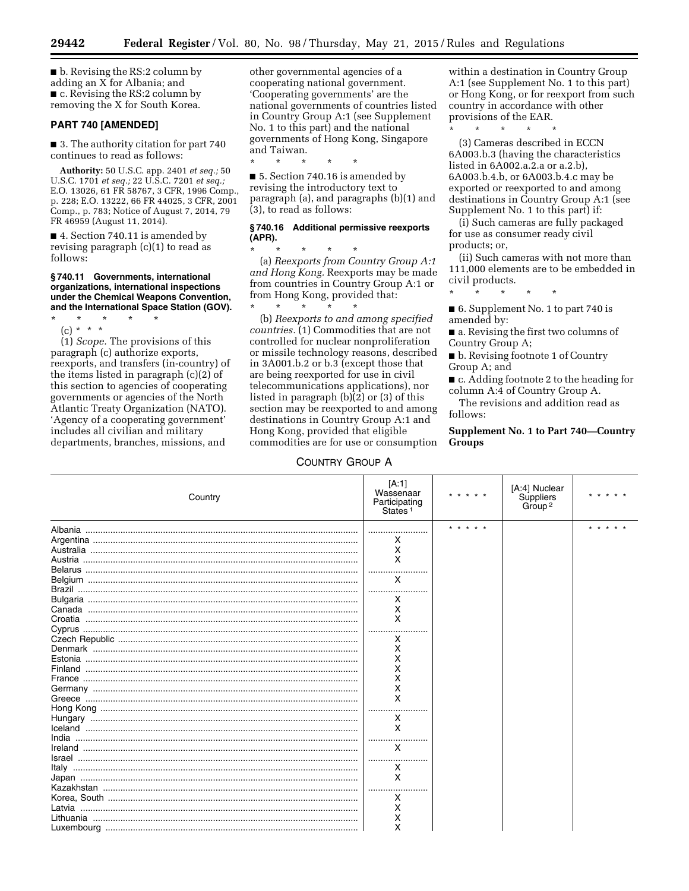■ b. Revising the RS:2 column by adding an X for Albania; and ■ c. Revising the RS:2 column by removing the X for South Korea.

#### **PART 740 [AMENDED]**

■ 3. The authority citation for part 740 continues to read as follows:

**Authority:** 50 U.S.C. app. 2401 *et seq.;* 50 U.S.C. 1701 *et seq.;* 22 U.S.C. 7201 *et seq.;*  E.O. 13026, 61 FR 58767, 3 CFR, 1996 Comp., p. 228; E.O. 13222, 66 FR 44025, 3 CFR, 2001 Comp., p. 783; Notice of August 7, 2014, 79 FR 46959 (August 11, 2014).

■ 4. Section 740.11 is amended by revising paragraph (c)(1) to read as follows:

**§ 740.11 Governments, international organizations, international inspections under the Chemical Weapons Convention, and the International Space Station (GOV).** 

\* \* \* \* \* (c) \* \* \*

(1) *Scope.* The provisions of this paragraph (c) authorize exports, reexports, and transfers (in-country) of the items listed in paragraph (c)(2) of this section to agencies of cooperating governments or agencies of the North Atlantic Treaty Organization (NATO). 'Agency of a cooperating government' includes all civilian and military departments, branches, missions, and

other governmental agencies of a cooperating national government. 'Cooperating governments' are the national governments of countries listed in Country Group A:1 (see Supplement No. 1 to this part) and the national governments of Hong Kong, Singapore and Taiwan.

\* \* \* \* \* ■ 5. Section 740.16 is amended by revising the introductory text to paragraph (a), and paragraphs (b)(1) and (3), to read as follows:

### **§ 740.16 Additional permissive reexports (APR).**

\* \* \* \* \* (a) *Reexports from Country Group A:1 and Hong Kong.* Reexports may be made from countries in Country Group A:1 or from Hong Kong, provided that:

\* \* \* \* \* (b) *Reexports to and among specified countries.* (1) Commodities that are not controlled for nuclear nonproliferation or missile technology reasons, described in 3A001.b.2 or b.3 (except those that are being reexported for use in civil telecommunications applications), nor listed in paragraph (b)(2) or (3) of this section may be reexported to and among destinations in Country Group A:1 and Hong Kong, provided that eligible commodities are for use or consumption

# COUNTRY GROUP A

within a destination in Country Group A:1 (see Supplement No. 1 to this part) or Hong Kong, or for reexport from such country in accordance with other provisions of the EAR.

\* \* \* \* \*

(3) Cameras described in ECCN 6A003.b.3 (having the characteristics listed in 6A002.a.2.a or a.2.b), 6A003.b.4.b, or 6A003.b.4.c may be exported or reexported to and among destinations in Country Group A:1 (see Supplement No. 1 to this part) if:

(i) Such cameras are fully packaged for use as consumer ready civil products; or,

(ii) Such cameras with not more than 111,000 elements are to be embedded in civil products.

■ 6. Supplement No. 1 to part 740 is amended by:

\* \* \* \* \*

■ a. Revising the first two columns of Country Group A;

■ b. Revising footnote 1 of Country Group A; and

■ c. Adding footnote 2 to the heading for column A:4 of Country Group A.

The revisions and addition read as follows:

**Supplement No. 1 to Part 740—Country Groups** 

| Country | [A:1]<br>Wassenaar<br>Participating<br>States <sup>1</sup>                                            |           | [A:4] Nuclear<br>Suppliers<br>Group <sup>2</sup> |  |
|---------|-------------------------------------------------------------------------------------------------------|-----------|--------------------------------------------------|--|
| Estonia | х<br>x<br>X<br>X<br>X<br>x<br>X<br>х<br>х<br>х<br>х<br>х<br>х<br>x<br>x<br>X<br>x<br>X<br>X<br>х<br>х | * * * * * |                                                  |  |
|         | х<br>x                                                                                                |           |                                                  |  |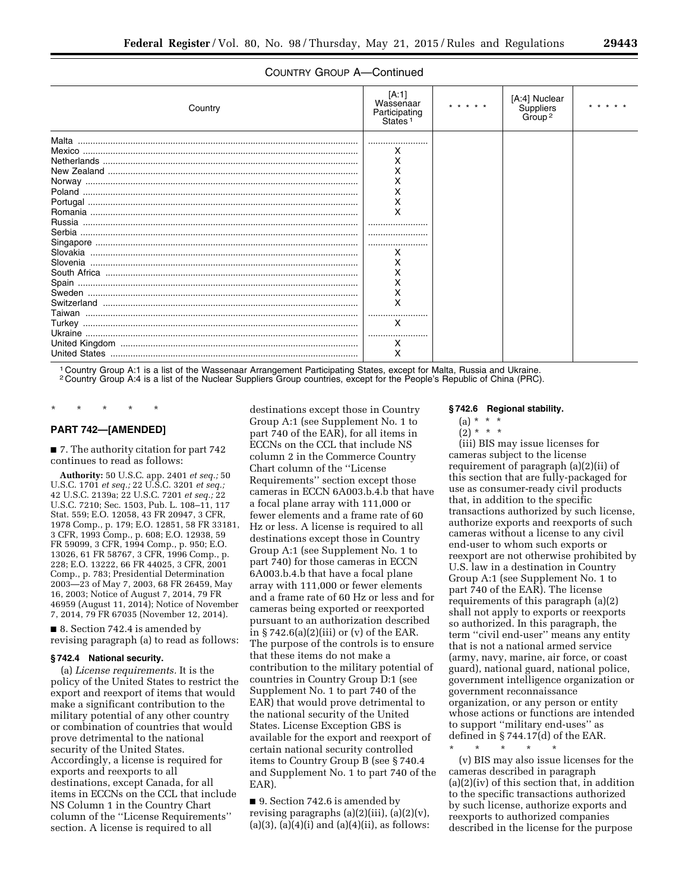### COUNTRY GROUP A—Continued

| Country | [A:1]<br>Wassenaar<br>Participating<br>States <sup>1</sup> | * * * * * | [A:4] Nuclear<br>Suppliers<br>Group <sup>2</sup> |  |
|---------|------------------------------------------------------------|-----------|--------------------------------------------------|--|
| Malta   |                                                            |           |                                                  |  |
|         | х                                                          |           |                                                  |  |
|         | x                                                          |           |                                                  |  |
|         |                                                            |           |                                                  |  |
|         | X                                                          |           |                                                  |  |
|         | X                                                          |           |                                                  |  |
|         | x                                                          |           |                                                  |  |
|         | X                                                          |           |                                                  |  |
|         |                                                            |           |                                                  |  |
|         |                                                            |           |                                                  |  |
|         |                                                            |           |                                                  |  |
|         | х                                                          |           |                                                  |  |
|         | х                                                          |           |                                                  |  |
|         |                                                            |           |                                                  |  |
|         | x                                                          |           |                                                  |  |
|         | Χ                                                          |           |                                                  |  |
|         | X                                                          |           |                                                  |  |
|         |                                                            |           |                                                  |  |
|         | X                                                          |           |                                                  |  |
|         |                                                            |           |                                                  |  |
|         | х                                                          |           |                                                  |  |
|         | x                                                          |           |                                                  |  |

1 Country Group A:1 is a list of the Wassenaar Arrangement Participating States, except for Malta, Russia and Ukraine.

2 Country Group A:4 is a list of the Nuclear Suppliers Group countries, except for the People's Republic of China (PRC).

# \* \* \* \* \* **PART 742—[AMENDED]**

■ 7. The authority citation for part 742 continues to read as follows:

**Authority:** 50 U.S.C. app. 2401 *et seq.;* 50 U.S.C. 1701 *et seq.;* 22 U.S.C. 3201 *et seq.;*  42 U.S.C. 2139a; 22 U.S.C. 7201 *et seq.;* 22 U.S.C. 7210; Sec. 1503, Pub. L. 108-11, 117 Stat. 559; E.O. 12058, 43 FR 20947, 3 CFR, 1978 Comp., p. 179; E.O. 12851, 58 FR 33181, 3 CFR, 1993 Comp., p. 608; E.O. 12938, 59 FR 59099, 3 CFR, 1994 Comp., p. 950; E.O. 13026, 61 FR 58767, 3 CFR, 1996 Comp., p. 228; E.O. 13222, 66 FR 44025, 3 CFR, 2001 Comp., p. 783; Presidential Determination 2003—23 of May 7, 2003, 68 FR 26459, May 16, 2003; Notice of August 7, 2014, 79 FR 46959 (August 11, 2014); Notice of November 7, 2014, 79 FR 67035 (November 12, 2014).

■ 8. Section 742.4 is amended by revising paragraph (a) to read as follows:

#### **§ 742.4 National security.**

(a) *License requirements.* It is the policy of the United States to restrict the export and reexport of items that would make a significant contribution to the military potential of any other country or combination of countries that would prove detrimental to the national security of the United States. Accordingly, a license is required for exports and reexports to all destinations, except Canada, for all items in ECCNs on the CCL that include NS Column 1 in the Country Chart column of the ''License Requirements'' section. A license is required to all

destinations except those in Country Group A:1 (see Supplement No. 1 to part 740 of the EAR), for all items in ECCNs on the CCL that include NS column 2 in the Commerce Country Chart column of the ''License Requirements'' section except those cameras in ECCN 6A003.b.4.b that have a focal plane array with 111,000 or fewer elements and a frame rate of 60 Hz or less. A license is required to all destinations except those in Country Group A:1 (see Supplement No. 1 to part 740) for those cameras in ECCN 6A003.b.4.b that have a focal plane array with 111,000 or fewer elements and a frame rate of 60 Hz or less and for cameras being exported or reexported pursuant to an authorization described in  $\S 742.6(a)(2)(iii)$  or (v) of the EAR. The purpose of the controls is to ensure that these items do not make a contribution to the military potential of countries in Country Group D:1 (see Supplement No. 1 to part 740 of the EAR) that would prove detrimental to the national security of the United States. License Exception GBS is available for the export and reexport of certain national security controlled items to Country Group B (see § 740.4 and Supplement No. 1 to part 740 of the EAR).

■ 9. Section 742.6 is amended by revising paragraphs (a)(2)(iii), (a)(2)(v),  $(a)(3)$ ,  $(a)(4)(i)$  and  $(a)(4)(ii)$ , as follows:

#### **§ 742.6 Regional stability.**

- $(a) * * * *$
- $(2)^*$  \* \*

(iii) BIS may issue licenses for cameras subject to the license requirement of paragraph (a)(2)(ii) of this section that are fully-packaged for use as consumer-ready civil products that, in addition to the specific transactions authorized by such license, authorize exports and reexports of such cameras without a license to any civil end-user to whom such exports or reexport are not otherwise prohibited by U.S. law in a destination in Country Group A:1 (see Supplement No. 1 to part 740 of the EAR). The license requirements of this paragraph (a)(2) shall not apply to exports or reexports so authorized. In this paragraph, the term ''civil end-user'' means any entity that is not a national armed service (army, navy, marine, air force, or coast guard), national guard, national police, government intelligence organization or government reconnaissance organization, or any person or entity whose actions or functions are intended to support ''military end-uses'' as defined in § 744.17(d) of the EAR.

\* \* \* \* \*

(v) BIS may also issue licenses for the cameras described in paragraph (a)(2)(iv) of this section that, in addition to the specific transactions authorized by such license, authorize exports and reexports to authorized companies described in the license for the purpose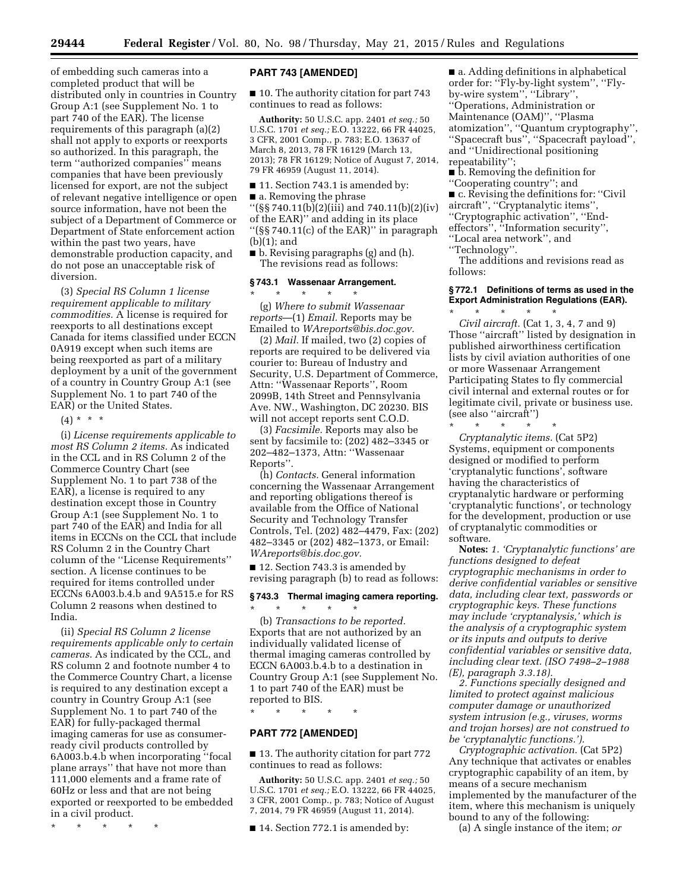of embedding such cameras into a completed product that will be distributed only in countries in Country Group A:1 (see Supplement No. 1 to part 740 of the EAR). The license requirements of this paragraph (a)(2) shall not apply to exports or reexports so authorized. In this paragraph, the term ''authorized companies'' means companies that have been previously licensed for export, are not the subject of relevant negative intelligence or open source information, have not been the subject of a Department of Commerce or Department of State enforcement action within the past two years, have demonstrable production capacity, and do not pose an unacceptable risk of diversion.

(3) *Special RS Column 1 license requirement applicable to military commodities.* A license is required for reexports to all destinations except Canada for items classified under ECCN 0A919 except when such items are being reexported as part of a military deployment by a unit of the government of a country in Country Group A:1 (see Supplement No. 1 to part 740 of the EAR) or the United States.

 $(4) * * * *$ 

(i) *License requirements applicable to most RS Column 2 items.* As indicated in the CCL and in RS Column 2 of the Commerce Country Chart (see Supplement No. 1 to part 738 of the EAR), a license is required to any destination except those in Country Group A:1 (see Supplement No. 1 to part 740 of the EAR) and India for all items in ECCNs on the CCL that include RS Column 2 in the Country Chart column of the ''License Requirements'' section. A license continues to be required for items controlled under ECCNs 6A003.b.4.b and 9A515.e for RS Column 2 reasons when destined to India.

(ii) *Special RS Column 2 license requirements applicable only to certain cameras.* As indicated by the CCL, and RS column 2 and footnote number 4 to the Commerce Country Chart, a license is required to any destination except a country in Country Group A:1 (see Supplement No. 1 to part 740 of the EAR) for fully-packaged thermal imaging cameras for use as consumerready civil products controlled by 6A003.b.4.b when incorporating ''focal plane arrays'' that have not more than 111,000 elements and a frame rate of 60Hz or less and that are not being exported or reexported to be embedded in a civil product.

\* \* \* \* \*

## **PART 743 [AMENDED]**

■ 10. The authority citation for part 743 continues to read as follows:

**Authority:** 50 U.S.C. app. 2401 *et seq.;* 50 U.S.C. 1701 *et seq.;* E.O. 13222, 66 FR 44025, 3 CFR, 2001 Comp., p. 783; E.O. 13637 of March 8, 2013, 78 FR 16129 (March 13, 2013); 78 FR 16129; Notice of August 7, 2014, 79 FR 46959 (August 11, 2014).

■ 11. Section 743.1 is amended by:

■ a. Removing the phrase

''(§§ 740.11(b)(2)(iii) and 740.11(b)(2)(iv) of the EAR)'' and adding in its place ''(§§ 740.11(c) of the EAR)'' in paragraph (b)(1); and

■ b. Revising paragraphs (g) and (h). The revisions read as follows:

### **§ 743.1 Wassenaar Arrangement.**

\* \* \* \* \*

(g) *Where to submit Wassenaar reports*—(1) *Email.* Reports may be Emailed to *[WAreports@bis.doc.gov.](mailto:WAreports@bis.doc.gov)* 

(2) *Mail.* If mailed, two (2) copies of reports are required to be delivered via courier to: Bureau of Industry and Security, U.S. Department of Commerce, Attn: ''Wassenaar Reports'', Room 2099B, 14th Street and Pennsylvania Ave. NW., Washington, DC 20230. BIS will not accept reports sent C.O.D.

(3) *Facsimile.* Reports may also be sent by facsimile to: (202) 482–3345 or 202–482–1373, Attn: ''Wassenaar Reports''.

(h) *Contacts.* General information concerning the Wassenaar Arrangement and reporting obligations thereof is available from the Office of National Security and Technology Transfer Controls, Tel. (202) 482–4479, Fax: (202) 482–3345 or (202) 482–1373, or Email: *[WAreports@bis.doc.gov.](mailto:WAreports@bis.doc.gov)* 

■ 12. Section 743.3 is amended by revising paragraph (b) to read as follows:

# **§ 743.3 Thermal imaging camera reporting.**

\* \* \* \* \* (b) *Transactions to be reported.*  Exports that are not authorized by an individually validated license of thermal imaging cameras controlled by ECCN 6A003.b.4.b to a destination in Country Group A:1 (see Supplement No. 1 to part 740 of the EAR) must be reported to BIS.

\* \* \* \* \*

# **PART 772 [AMENDED]**

■ 13. The authority citation for part 772 continues to read as follows:

**Authority:** 50 U.S.C. app. 2401 *et seq.;* 50 U.S.C. 1701 *et seq.;* E.O. 13222, 66 FR 44025, 3 CFR, 2001 Comp., p. 783; Notice of August 7, 2014, 79 FR 46959 (August 11, 2014).

■ 14. Section 772.1 is amended by:

■ a. Adding definitions in alphabetical order for: ''Fly-by-light system'', ''Flyby-wire system'', ''Library'', ''Operations, Administration or Maintenance (OAM)'', ''Plasma atomization'', ''Quantum cryptography'', ''Spacecraft bus'', ''Spacecraft payload'', and ''Unidirectional positioning repeatability'';

■ b. Removing the definition for ''Cooperating country''; and

■ c. Revising the definitions for: "Civil aircraft'', ''Cryptanalytic items'', ''Cryptographic activation'', ''Endeffectors'', ''Information security'', ''Local area network'', and

''Technology''.

The additions and revisions read as follows:

#### **§ 772.1 Definitions of terms as used in the Export Administration Regulations (EAR).**

\* \* \* \* \* *Civil aircraft.* (Cat 1, 3, 4, 7 and 9) Those ''aircraft'' listed by designation in published airworthiness certification lists by civil aviation authorities of one or more Wassenaar Arrangement Participating States to fly commercial civil internal and external routes or for legitimate civil, private or business use. (see also ''aircraft'')

\* \* \* \* \* *Cryptanalytic items.* (Cat 5P2) Systems, equipment or components designed or modified to perform 'cryptanalytic functions', software having the characteristics of cryptanalytic hardware or performing 'cryptanalytic functions', or technology for the development, production or use of cryptanalytic commodities or software.

**Notes:** *1. 'Cryptanalytic functions' are functions designed to defeat cryptographic mechanisms in order to derive confidential variables or sensitive data, including clear text, passwords or cryptographic keys. These functions may include 'cryptanalysis,' which is the analysis of a cryptographic system or its inputs and outputs to derive confidential variables or sensitive data, including clear text. (ISO 7498–2–1988 (E), paragraph 3.3.18).* 

*2. Functions specially designed and limited to protect against malicious computer damage or unauthorized system intrusion (e.g., viruses, worms and trojan horses) are not construed to be 'cryptanalytic functions.').* 

*Cryptographic activation.* (Cat 5P2) Any technique that activates or enables cryptographic capability of an item, by means of a secure mechanism implemented by the manufacturer of the item, where this mechanism is uniquely bound to any of the following:

(a) A single instance of the item; *or*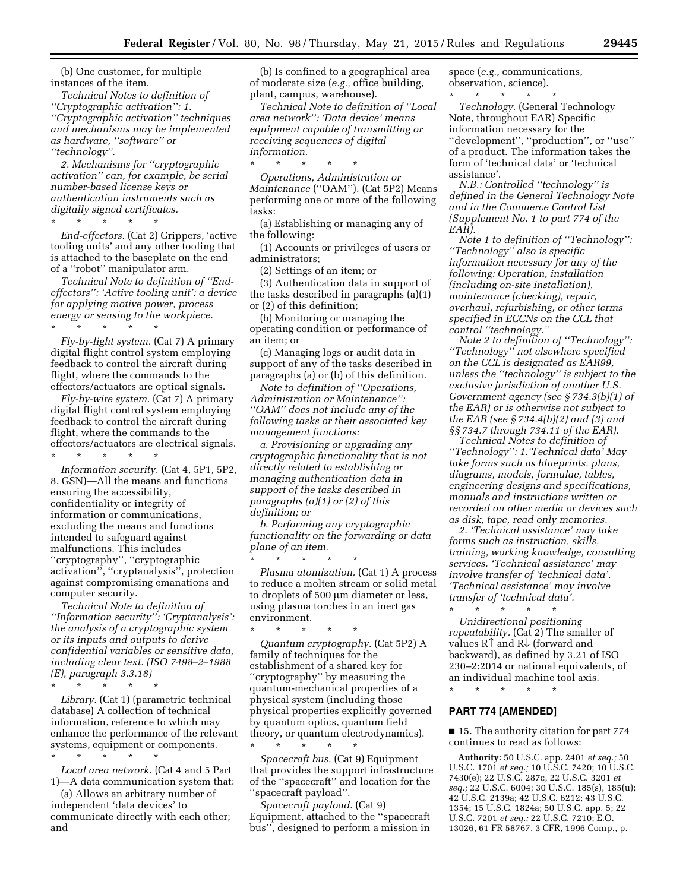(b) One customer, for multiple instances of the item.

*Technical Notes to definition of ''Cryptographic activation'': 1. ''Cryptographic activation'' techniques and mechanisms may be implemented as hardware, ''software'' or ''technology''.* 

*2. Mechanisms for ''cryptographic activation'' can, for example, be serial number-based license keys or authentication instruments such as digitally signed certificates.* 

\* \* \* \* \* *End-effectors.* (Cat 2) Grippers, 'active tooling units' and any other tooling that is attached to the baseplate on the end of a ''robot'' manipulator arm.

*Technical Note to definition of ''Endeffectors'': 'Active tooling unit': a device for applying motive power, process energy or sensing to the workpiece.* 

\* \* \* \* \* *Fly-by-light system.* (Cat 7) A primary digital flight control system employing feedback to control the aircraft during flight, where the commands to the effectors/actuators are optical signals.

*Fly-by-wire system.* (Cat 7) A primary digital flight control system employing feedback to control the aircraft during flight, where the commands to the effectors/actuators are electrical signals. \* \* \* \* \*

*Information security.* (Cat 4, 5P1, 5P2, 8, GSN)—All the means and functions ensuring the accessibility, confidentiality or integrity of information or communications, excluding the means and functions intended to safeguard against malfunctions. This includes ''cryptography'', ''cryptographic activation'', ''cryptanalysis'', protection against compromising emanations and computer security.

*Technical Note to definition of ''Information security'': 'Cryptanalysis': the analysis of a cryptographic system or its inputs and outputs to derive confidential variables or sensitive data, including clear text. (ISO 7498–2–1988 (E), paragraph 3.3.18)* 

\* \* \* \* \* *Library.* (Cat 1) (parametric technical database) A collection of technical information, reference to which may enhance the performance of the relevant systems, equipment or components.

\* \* \* \* \* *Local area network.* (Cat 4 and 5 Part 1)—A data communication system that:

(a) Allows an arbitrary number of independent 'data devices' to communicate directly with each other; and

(b) Is confined to a geographical area of moderate size (*e.g.,* office building, plant, campus, warehouse).

*Technical Note to definition of ''Local area network'': 'Data device' means equipment capable of transmitting or receiving sequences of digital information.* 

\* \* \* \* \* *Operations, Administration or Maintenance* (''OAM''). (Cat 5P2) Means performing one or more of the following tasks:

(a) Establishing or managing any of the following:

(1) Accounts or privileges of users or administrators;

(2) Settings of an item; or

(3) Authentication data in support of the tasks described in paragraphs (a)(1) or (2) of this definition;

(b) Monitoring or managing the operating condition or performance of an item; or

(c) Managing logs or audit data in support of any of the tasks described in paragraphs (a) or (b) of this definition.

*Note to definition of ''Operations, Administration or Maintenance'': ''OAM'' does not include any of the following tasks or their associated key management functions:* 

*a. Provisioning or upgrading any cryptographic functionality that is not directly related to establishing or managing authentication data in support of the tasks described in paragraphs (a)(1) or (2) of this definition; or* 

*b. Performing any cryptographic functionality on the forwarding or data plane of an item.* 

\* \* \* \* \*

\* \* \* \* \*

*Plasma atomization.* (Cat 1) A process to reduce a molten stream or solid metal to droplets of 500 µm diameter or less, using plasma torches in an inert gas environment.

\* \* \* \* \* *Quantum cryptography.* (Cat 5P2) A family of techniques for the establishment of a shared key for ''cryptography'' by measuring the quantum-mechanical properties of a physical system (including those physical properties explicitly governed by quantum optics, quantum field theory, or quantum electrodynamics).

*Spacecraft bus.* (Cat 9) Equipment that provides the support infrastructure of the ''spacecraft'' and location for the ''spacecraft payload''.

*Spacecraft payload.* (Cat 9) Equipment, attached to the ''spacecraft bus'', designed to perform a mission in

space (*e.g.,* communications, observation, science).

\* \* \* \* \* *Technology.* (General Technology Note, throughout EAR) Specific information necessary for the ''development'', ''production'', or ''use'' of a product. The information takes the form of 'technical data' or 'technical assistance'.

*N.B.: Controlled ''technology'' is defined in the General Technology Note and in the Commerce Control List (Supplement No. 1 to part 774 of the EAR).* 

*Note 1 to definition of ''Technology'': ''Technology'' also is specific information necessary for any of the following: Operation, installation (including on-site installation), maintenance (checking), repair, overhaul, refurbishing, or other terms specified in ECCNs on the CCL that control ''technology.''* 

*Note 2 to definition of ''Technology'': ''Technology'' not elsewhere specified on the CCL is designated as EAR99, unless the ''technology'' is subject to the exclusive jurisdiction of another U.S. Government agency (see § 734.3(b)(1) of the EAR) or is otherwise not subject to the EAR (see § 734.4(b)(2) and (3) and §§ 734.7 through 734.11 of the EAR).* 

*Technical Notes to definition of ''Technology'': 1.'Technical data' May take forms such as blueprints, plans, diagrams, models, formulae, tables, engineering designs and specifications, manuals and instructions written or recorded on other media or devices such as disk, tape, read only memories.* 

*2. 'Technical assistance' may take forms such as instruction, skills, training, working knowledge, consulting services. 'Technical assistance' may involve transfer of 'technical data'. 'Technical assistance' may involve transfer of 'technical data'.* 

\* \* \* \* \* *Unidirectional positioning repeatability.* (Cat 2) The smaller of values R↑ and R↓ (forward and backward), as defined by 3.21 of ISO 230–2:2014 or national equivalents, of an individual machine tool axis.

# \* \* \* \* \* **PART 774 [AMENDED]**

■ 15. The authority citation for part 774 continues to read as follows:

**Authority:** 50 U.S.C. app. 2401 *et seq.;* 50 U.S.C. 1701 *et seq.;* 10 U.S.C. 7420; 10 U.S.C. 7430(e); 22 U.S.C. 287c, 22 U.S.C. 3201 *et seq.;* 22 U.S.C. 6004; 30 U.S.C. 185(s), 185(u); 42 U.S.C. 2139a; 42 U.S.C. 6212; 43 U.S.C. 1354; 15 U.S.C. 1824a; 50 U.S.C. app. 5; 22 U.S.C. 7201 *et seq.;* 22 U.S.C. 7210; E.O. 13026, 61 FR 58767, 3 CFR, 1996 Comp., p.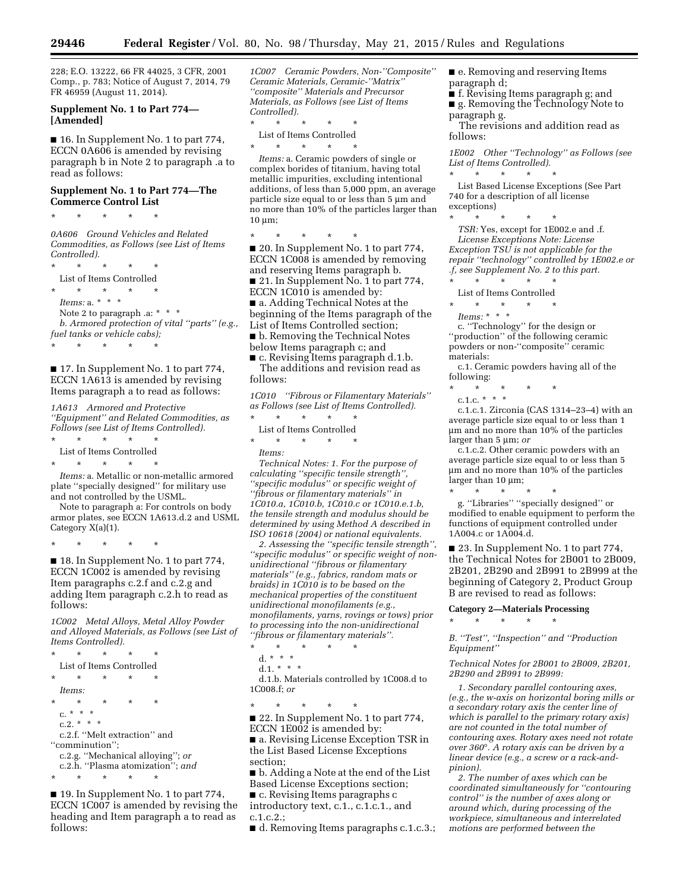228; E.O. 13222, 66 FR 44025, 3 CFR, 2001 Comp., p. 783; Notice of August 7, 2014, 79 FR 46959 (August 11, 2014).

### **Supplement No. 1 to Part 774— [Amended]**

■ 16. In Supplement No. 1 to part 774, ECCN 0A606 is amended by revising paragraph b in Note 2 to paragraph .a to read as follows:

### **Supplement No. 1 to Part 774—The Commerce Control List**

\* \* \* \* \*

*0A606 Ground Vehicles and Related Commodities, as Follows (see List of Items Controlled).* 

\* \* \* \* \* List of Items Controlled \* \* \* \* \* *Items:* a. \* \* \* Note 2 to paragraph .a: \* \* \* \*  $\,$ *b. Armored protection of vital ''parts'' (e.g., fuel tanks or vehicle cabs);*  \* \* \* \* \*

■ 17. In Supplement No. 1 to part 774, ECCN 1A613 is amended by revising Items paragraph a to read as follows:

*1A613 Armored and Protective ''Equipment'' and Related Commodities, as Follows (see List of Items Controlled).* 

\* \* \* \* \* List of Items Controlled

\* \* \* \* \*

*Items:* a. Metallic or non-metallic armored plate ''specially designed'' for military use and not controlled by the USML.

Note to paragraph a: For controls on body armor plates, see ECCN 1A613.d.2 and USML Category X(a)(1).

\* \* \* \* \*

■ 18. In Supplement No. 1 to part 774, ECCN 1C002 is amended by revising Item paragraphs c.2.f and c.2.g and adding Item paragraph c.2.h to read as follows:

*1C002 Metal Alloys, Metal Alloy Powder and Alloyed Materials, as Follows (see List of Items Controlled).* 

\* \* \* \* \* List of Items Controlled \* \* \* \* \* *Items:*  \* \* \* \* \* c. \* \* \* c.2.  $* * * *$ c.2.f. ''Melt extraction'' and ''comminution''; c.2.g. ''Mechanical alloying''; *or*  c.2.h. ''Plasma atomization''; *and*   $\star$   $\star$ 

■ 19. In Supplement No. 1 to part 774, ECCN 1C007 is amended by revising the heading and Item paragraph a to read as follows:

*1C007 Ceramic Powders, Non-''Composite'' Ceramic Materials, Ceramic-''Matrix'' ''composite'' Materials and Precursor Materials, as Follows (see List of Items Controlled).* 

\* \* \* \* \* List of Items Controlled

\* \* \* \* \*

*Items:* a. Ceramic powders of single or complex borides of titanium, having total metallic impurities, excluding intentional additions, of less than 5,000 ppm, an average particle size equal to or less than  $5 \mu m$  and no more than 10% of the particles larger than  $10 \mu m$ ;

\* \* \* \* \* ■ 20. In Supplement No. 1 to part 774, ECCN 1C008 is amended by removing and reserving Items paragraph b. ■ 21. In Supplement No. 1 to part 774, ECCN 1C010 is amended by: ■ a. Adding Technical Notes at the beginning of the Items paragraph of the List of Items Controlled section; ■ b. Removing the Technical Notes below Items paragraph c; and

■ c. Revising Items paragraph d.1.b. The additions and revision read as follows:

*1C010 ''Fibrous or Filamentary Materials'' as Follows (see List of Items Controlled).*  \* \* \* \* \*

List of Items Controlled

\* \* \* \* \*

*Items:* 

*Technical Notes: 1. For the purpose of calculating ''specific tensile strength'', ''specific modulus'' or specific weight of ''fibrous or filamentary materials'' in 1C010.a, 1C010.b, 1C010.c or 1C010.e.1.b, the tensile strength and modulus should be determined by using Method A described in ISO 10618 (2004) or national equivalents.* 

*2. Assessing the ''specific tensile strength'', ''specific modulus'' or specific weight of nonunidirectional ''fibrous or filamentary materials'' (e.g., fabrics, random mats or braids) in 1C010 is to be based on the mechanical properties of the constituent unidirectional monofilaments (e.g., monofilaments, yarns, rovings or tows) prior to processing into the non-unidirectional ''fibrous or filamentary materials''.* 

\* \* \* \* \*

- d. \* \* \*
- d.1. \* \* \*

d.1.b. Materials controlled by 1C008.d to 1C008.f; *or* 

\* \* \* \* \*

■ 22. In Supplement No. 1 to part 774, ECCN 1E002 is amended by:

■ a. Revising License Exception TSR in the List Based License Exceptions section;

■ b. Adding a Note at the end of the List Based License Exceptions section; ■ c. Revising Items paragraphs c

introductory text, c.1., c.1.c.1., and c.1.c.2.;

■ d. Removing Items paragraphs c.1.c.3.;

■ e. Removing and reserving Items paragraph d;

■ f. Revising Items paragraph g; and ■ g. Removing the Technology Note to

paragraph g. The revisions and addition read as

follows:

*1E002 Other ''Technology'' as Follows (see List of Items Controlled).*  \* \* \* \* \*

List Based License Exceptions (See Part 740 for a description of all license exceptions)

\* \* \* \* \* *TSR:* Yes, except for 1E002.e and .f. *License Exceptions Note: License Exception TSU is not applicable for the repair ''technology'' controlled by 1E002.e or .f, see Supplement No. 2 to this part.*  \* \* \* \* \*

- 
- List of Items Controlled \* \* \* \* \*
- *Items:* \* \* \*

c. ''Technology'' for the design or ''production'' of the following ceramic powders or non-''composite'' ceramic materials:

c.1. Ceramic powders having all of the following:

\* \* \* \* \*

c.1.c. \* \* \* \*

c.1.c.1. Zirconia (CAS 1314–23–4) with an average particle size equal to or less than 1 mm and no more than 10% of the particles larger than 5 µm; *or* 

c.1.c.2. Other ceramic powders with an average particle size equal to or less than 5 mm and no more than 10% of the particles larger than  $10 \mu m$ ;

\* \* \* \* \* g. ''Libraries'' ''specially designed'' or modified to enable equipment to perform the functions of equipment controlled under 1A004.c or 1A004.d.

■ 23. In Supplement No. 1 to part 774, the Technical Notes for 2B001 to 2B009, 2B201, 2B290 and 2B991 to 2B999 at the beginning of Category 2, Product Group B are revised to read as follows:

#### **Category 2—Materials Processing**

\* \* \* \* \*

*B. ''Test'', ''Inspection'' and ''Production Equipment''* 

*Technical Notes for 2B001 to 2B009, 2B201, 2B290 and 2B991 to 2B999:* 

*1. Secondary parallel contouring axes, (e.g., the w-axis on horizontal boring mills or a secondary rotary axis the center line of which is parallel to the primary rotary axis) are not counted in the total number of contouring axes. Rotary axes need not rotate over 360*°*. A rotary axis can be driven by a linear device (e.g., a screw or a rack-andpinion).* 

*2. The number of axes which can be coordinated simultaneously for ''contouring control'' is the number of axes along or around which, during processing of the workpiece, simultaneous and interrelated motions are performed between the*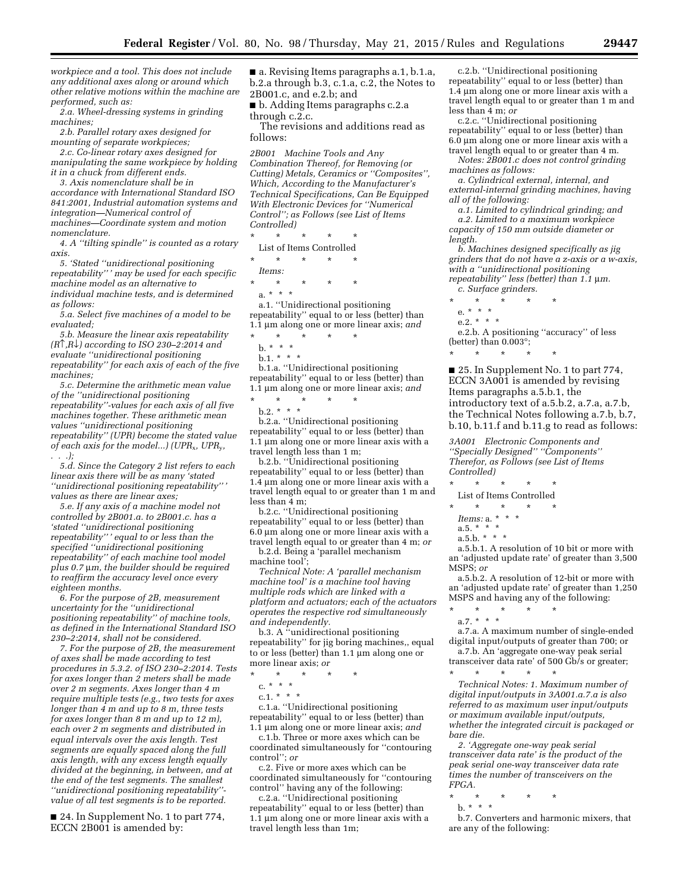*workpiece and a tool. This does not include any additional axes along or around which other relative motions within the machine are performed, such as:* 

*2.a. Wheel-dressing systems in grinding machines;* 

*2.b. Parallel rotary axes designed for mounting of separate workpieces;* 

*2.c. Co-linear rotary axes designed for manipulating the same workpiece by holding it in a chuck from different ends.* 

*3. Axis nomenclature shall be in accordance with International Standard ISO 841:2001, Industrial automation systems and integration—Numerical control of machines—Coordinate system and motion nomenclature.* 

*4. A ''tilting spindle'' is counted as a rotary axis.* 

*5. 'Stated ''unidirectional positioning repeatability'' ' may be used for each specific machine model as an alternative to individual machine tests, and is determined as follows:* 

*5.a. Select five machines of a model to be evaluated;* 

*5.b. Measure the linear axis repeatability (R*↑*,R*↓*) according to ISO 230–2:2014 and evaluate ''unidirectional positioning repeatability'' for each axis of each of the five machines;* 

*5.c. Determine the arithmetic mean value of the ''unidirectional positioning repeatability''-values for each axis of all five machines together. These arithmetic mean values ''unidirectional positioning repeatability'' (UPR) become the stated value of each axis for the model...) (UPR*x*, UPR*y*, . . .);* 

*5.d. Since the Category 2 list refers to each linear axis there will be as many 'stated ''unidirectional positioning repeatability'' ' values as there are linear axes;* 

*5.e. If any axis of a machine model not controlled by 2B001.a. to 2B001.c. has a 'stated ''unidirectional positioning repeatability'' ' equal to or less than the specified ''unidirectional positioning repeatability'' of each machine tool model plus 0.7* m*m, the builder should be required to reaffirm the accuracy level once every eighteen months.* 

*6. For the purpose of 2B, measurement uncertainty for the ''unidirectional positioning repeatability'' of machine tools, as defined in the International Standard ISO 230–2:2014, shall not be considered.* 

*7. For the purpose of 2B, the measurement of axes shall be made according to test procedures in 5.3.2. of ISO 230–2:2014. Tests for axes longer than 2 meters shall be made over 2 m segments. Axes longer than 4 m require multiple tests (e.g., two tests for axes longer than 4 m and up to 8 m, three tests for axes longer than 8 m and up to 12 m), each over 2 m segments and distributed in equal intervals over the axis length. Test segments are equally spaced along the full axis length, with any excess length equally divided at the beginning, in between, and at the end of the test segments. The smallest ''unidirectional positioning repeatability'' value of all test segments is to be reported.* 

■ 24. In Supplement No. 1 to part 774, ECCN 2B001 is amended by:

■ a. Revising Items paragraphs a.1, b.1.a, b.2.a through b.3, c.1.a, c.2, the Notes to 2B001.c, and e.2.b; and

■ b. Adding Items paragraphs c.2.a through c.2.c.

The revisions and additions read as follows:

*2B001 Machine Tools and Any Combination Thereof, for Removing (or Cutting) Metals, Ceramics or ''Composites'', Which, According to the Manufacturer's Technical Specifications, Can Be Equipped With Electronic Devices for ''Numerical Control''; as Follows (see List of Items Controlled)* 

\* \* \* \* \*

List of Items Controlled \* \* \* \* \*

*Items:* 

\* \* \* \* \* a. \* \* \*

a.1. ''Unidirectional positioning repeatability" equal to or less (better) than 1.1 mm along one or more linear axis; *and*  \* \* \* \* \*

- b. \* \* \*
- b.1. \* \* \* \*  $\cdot$

b.1.a. ''Unidirectional positioning

repeatability'' equal to or less (better) than 1.1 mm along one or more linear axis; *and* 

\* \* \* \* \*  $b.2.*$  \* \*

b.2.a. ''Unidirectional positioning repeatability" equal to or less (better) than  $1.1 \mu m$  along one or more linear axis with a travel length less than 1 m;

b.2.b. ''Unidirectional positioning repeatability'' equal to or less (better) than  $1.\overline{4}$  µm along one or more linear axis with a travel length equal to or greater than 1 m and less than 4 m;

b.2.c. ''Unidirectional positioning repeatability'' equal to or less (better) than  $6.\overline{0}$  µm along one or more linear axis with a travel length equal to or greater than 4 m; *or* 

b.2.d. Being a 'parallel mechanism machine tool';

*Technical Note: A 'parallel mechanism machine tool' is a machine tool having multiple rods which are linked with a platform and actuators; each of the actuators operates the respective rod simultaneously and independently.* 

b.3. A ''unidirectional positioning repeatability'' for jig boring machines,, equal to or less (better) than  $1.1 \mu m$  along one or more linear axis; *or* 

\* \* \* \* \*

c. \* \* \*

c.1. \* \* \*

c.1.a. ''Unidirectional positioning repeatability'' equal to or less (better) than 1.1 mm along one or more linear axis; *and* 

c.1.b. Three or more axes which can be coordinated simultaneously for ''contouring control''; *or* 

c.2. Five or more axes which can be coordinated simultaneously for ''contouring control'' having any of the following:

c.2.a. ''Unidirectional positioning repeatability'' equal to or less (better) than  $1.\overline{1}$  µm along one or more linear axis with a travel length less than 1m;

c.2.b. ''Unidirectional positioning repeatability'' equal to or less (better) than 1.4 µm along one or more linear axis with a travel length equal to or greater than 1 m and less than 4 m; *or* 

c.2.c. ''Unidirectional positioning repeatability'' equal to or less (better) than  $6.0 \mu m$  along one or more linear axis with a travel length equal to or greater than 4 m.

*Notes: 2B001.c does not control grinding machines as follows:* 

*a. Cylindrical external, internal, and external-internal grinding machines, having all of the following:* 

*a.1. Limited to cylindrical grinding; and a.2. Limited to a maximum workpiece capacity of 150 mm outside diameter or length.* 

*b. Machines designed specifically as jig grinders that do not have a z-axis or a w-axis, with a ''unidirectional positioning repeatability" less (better) than 1.1*  $\mu$ *m.* 

*c. Surface grinders.* 

\* \* \* \* \*

- \* \* \* \* \*
- e. \* \* \*

e.2.  $* * * *$ 

e.2.b. A positioning ''accuracy'' of less (better) than 0.003°;

■ 25. In Supplement No. 1 to part 774, ECCN 3A001 is amended by revising Items paragraphs a.5.b.1, the introductory text of a.5.b.2, a.7.a, a.7.b, the Technical Notes following a.7.b, b.7, b.10, b.11.f and b.11.g to read as follows:

*3A001 Electronic Components and ''Specially Designed'' ''Components'' Therefor, as Follows (see List of Items Controlled)* 

\* \* \* \* \*

- List of Items Controlled
- \* \* \* \* \*
- *Items:* a. \* \* \*
- a.5. \* \* \* a.5.b. \* \* \*
- 

a.5.b.1. A resolution of 10 bit or more with an 'adjusted update rate' of greater than 3,500 MSPS; *or* 

a.5.b.2. A resolution of 12-bit or more with an 'adjusted update rate' of greater than 1,250 MSPS and having any of the following:

\* \* \* \* \* a.7. \* \* \*

a.7.a. A maximum number of single-ended digital input/outputs of greater than 700; or a.7.b. An 'aggregate one-way peak serial

transceiver data rate' of 500 Gb/s or greater;<br> $\begin{array}{ccc} * & * & * \end{array}$ \* \* \* \* \*

*Technical Notes: 1. Maximum number of digital input/outputs in 3A001.a.7.a is also referred to as maximum user input/outputs or maximum available input/outputs, whether the integrated circuit is packaged or bare die.* 

*2. 'Aggregate one-way peak serial transceiver data rate' is the product of the peak serial one-way transceiver data rate times the number of transceivers on the FPGA.* 

- \* \* \* \* \*
- b. \* \* \*

b.7. Converters and harmonic mixers, that are any of the following: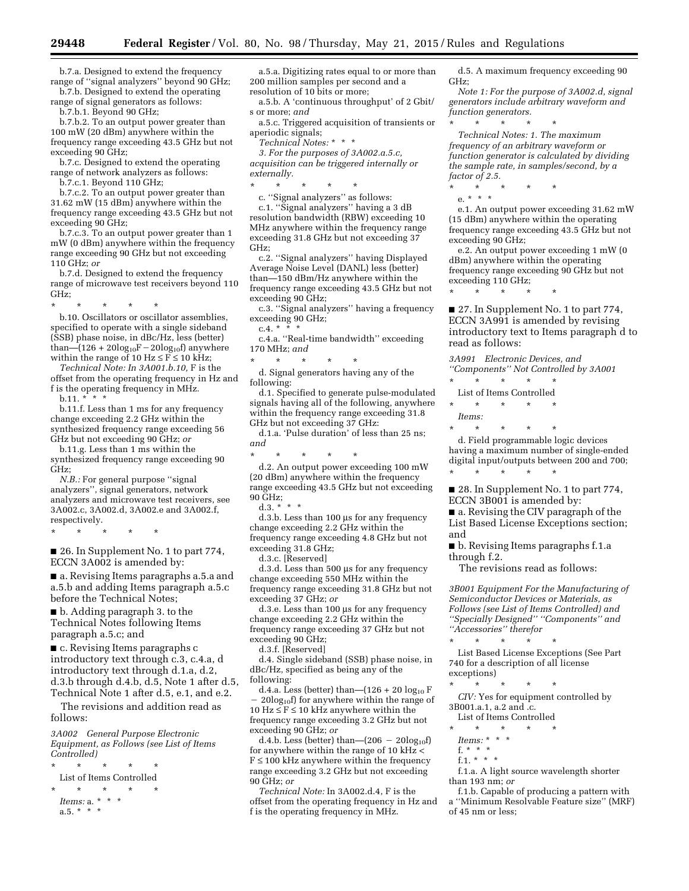b.7.a. Designed to extend the frequency range of "signal analyzers" beyond 90 GHz;

b.7.b. Designed to extend the operating range of signal generators as follows:

b.7.b.1. Beyond 90 GHz;

b.7.b.2. To an output power greater than 100 mW (20 dBm) anywhere within the frequency range exceeding 43.5 GHz but not exceeding 90 GHz;

b.7.c. Designed to extend the operating range of network analyzers as follows:

b.7.c.1. Beyond 110 GHz;

b.7.c.2. To an output power greater than 31.62 mW (15 dBm) anywhere within the frequency range exceeding 43.5 GHz but not exceeding 90 GHz;

b.7.c.3. To an output power greater than 1 mW (0 dBm) anywhere within the frequency range exceeding 90 GHz but not exceeding 110 GHz; *or* 

b.7.d. Designed to extend the frequency range of microwave test receivers beyond 110 GHz;

\* \* \* \* \* b.10. Oscillators or oscillator assemblies, specified to operate with a single sideband (SSB) phase noise, in dBc/Hz, less (better) than— $(126 + 20\log_{10}F - 20\log_{10}f)$  anywhere

within the range of 10 Hz  $\leq$  F $\leq$  10 kHz; *Technical Note: In 3A001.b.10,* F is the

offset from the operating frequency in Hz and f is the operating frequency in MHz.  $b.11.$  \*

b.11.f. Less than 1 ms for any frequency change exceeding 2.2 GHz within the synthesized frequency range exceeding 56 GHz but not exceeding 90 GHz; *or* 

b.11.g. Less than 1 ms within the synthesized frequency range exceeding 90 GHz;

*N.B.:* For general purpose ''signal analyzers'', signal generators, network analyzers and microwave test receivers, see 3A002.c, 3A002.d, 3A002.e and 3A002.f, respectively.

\* \* \* \* \*

■ 26. In Supplement No. 1 to part 774, ECCN 3A002 is amended by:

■ a. Revising Items paragraphs a.5.a and a.5.b and adding Items paragraph a.5.c before the Technical Notes;

■ b. Adding paragraph 3. to the Technical Notes following Items paragraph a.5.c; and

■ c. Revising Items paragraphs c introductory text through c.3, c.4.a, d introductory text through d.1.a, d.2, d.3.b through d.4.b, d.5, Note 1 after d.5, Technical Note 1 after d.5, e.1, and e.2.

The revisions and addition read as follows:

*3A002 General Purpose Electronic Equipment, as Follows (see List of Items Controlled)* 

\* \* \* \* \* List of Items Controlled \* \* \* \* \* *Items:* a. \* \* \* a.5.  $*$  \* \*

a.5.a. Digitizing rates equal to or more than 200 million samples per second and a resolution of 10 bits or more;

a.5.b. A 'continuous throughput' of 2 Gbit/ s or more; *and* 

a.5.c. Triggered acquisition of transients or aperiodic signals;

*Technical Notes:* \* \* \*

*3. For the purposes of 3A002.a.5.c, acquisition can be triggered internally or externally.* 

\* \* \* \* \*

c. ''Signal analyzers'' as follows: c.1. ''Signal analyzers'' having a 3 dB resolution bandwidth (RBW) exceeding 10 MHz anywhere within the frequency range exceeding 31.8 GHz but not exceeding 37 GHz;

c.2. ''Signal analyzers'' having Displayed Average Noise Level (DANL) less (better) than—150 dBm/Hz anywhere within the frequency range exceeding 43.5 GHz but not exceeding 90 GHz;

c.3. ''Signal analyzers'' having a frequency exceeding 90 GHz;

 $c.4.$  \* \*

c.4.a. ''Real-time bandwidth'' exceeding 170 MHz; *and* 

\* \* \* \* \* d. Signal generators having any of the following:

d.1. Specified to generate pulse-modulated signals having all of the following, anywhere within the frequency range exceeding 31.8 GHz but not exceeding 37 GHz:

d.1.a. 'Pulse duration' of less than 25 ns; *and* 

\* \* \* \* \*

d.2. An output power exceeding 100 mW (20 dBm) anywhere within the frequency range exceeding 43.5 GHz but not exceeding 90 GHz;

d.3.  $*^{*}$ 

d.3.b. Less than 100 us for any frequency change exceeding 2.2 GHz within the frequency range exceeding 4.8 GHz but not exceeding 31.8 GHz;

d.3.c. [Reserved]

d.3.d. Less than 500 µs for any frequency change exceeding 550 MHz within the frequency range exceeding 31.8 GHz but not exceeding 37 GHz; *or* 

d.3.e. Less than 100 us for any frequency change exceeding 2.2 GHz within the frequency range exceeding 37 GHz but not exceeding 90 GHz;

d.3.f. [Reserved]

d.4. Single sideband (SSB) phase noise, in dBc/Hz, specified as being any of the following:

d.4.a. Less (better) than— $(126 + 20 \log_{10} F)$  $-20\log_{10}f$  for anywhere within the range of  $10 \text{ Hz} \leq F \leq 10 \text{ kHz}$  anywhere within the frequency range exceeding 3.2 GHz but not exceeding 90 GHz; *or* 

d.4.b. Less (better) than— $(206 - 20\text{log}_{10}f)$ for anywhere within the range of 10 kHz <  $F \le 100$  kHz anywhere within the frequency range exceeding 3.2 GHz but not exceeding 90 GHz; *or* 

*Technical Note:* In 3A002.d.4, F is the offset from the operating frequency in Hz and f is the operating frequency in MHz.

d.5. A maximum frequency exceeding 90 GHz;

*Note 1: For the purpose of 3A002.d, signal generators include arbitrary waveform and function generators.* 

*Technical Notes: 1. The maximum frequency of an arbitrary waveform or function generator is calculated by dividing the sample rate, in samples/second, by a factor of 2.5.* 

\* \* \* \* \*

\* \* \* \* \*

e. \* \* \* e.1. An output power exceeding 31.62 mW (15 dBm) anywhere within the operating frequency range exceeding 43.5 GHz but not exceeding 90 GHz;

e.2. An output power exceeding 1 mW (0 dBm) anywhere within the operating frequency range exceeding 90 GHz but not exceeding 110 GHz;

\* \* \* \* \*

■ 27. In Supplement No. 1 to part 774, ECCN 3A991 is amended by revising introductory text to Items paragraph d to read as follows:

*3A991 Electronic Devices, and ''Components'' Not Controlled by 3A001*  \* \* \* \* \* List of Items Controlled \* \* \* \* \* *Items:* 

\* \* \* \* \* d. Field programmable logic devices having a maximum number of single-ended digital input/outputs between 200 and 700; \* \* \* \* \*

■ 28. In Supplement No. 1 to part 774, ECCN 3B001 is amended by:

■ a. Revising the CIV paragraph of the List Based License Exceptions section; and

■ b. Revising Items paragraphs f.1.a through f.2.

The revisions read as follows:

*3B001 Equipment For the Manufacturing of Semiconductor Devices or Materials, as Follows (see List of Items Controlled) and ''Specially Designed'' ''Components'' and ''Accessories'' therefor* 

\* \* \* \* \* List Based License Exceptions (See Part 740 for a description of all license

exceptions) \* \* \* \* \*

*CIV:* Yes for equipment controlled by 3B001.a.1, a.2 and .c.

List of Items Controlled

\* \* \* \* \* *Items:* \* \* \*

 $f.* * * *$ 

f.1. \* \* \*

f.1.a. A light source wavelength shorter than 193 nm; *or* 

f.1.b. Capable of producing a pattern with a ''Minimum Resolvable Feature size'' (MRF) of 45 nm or less;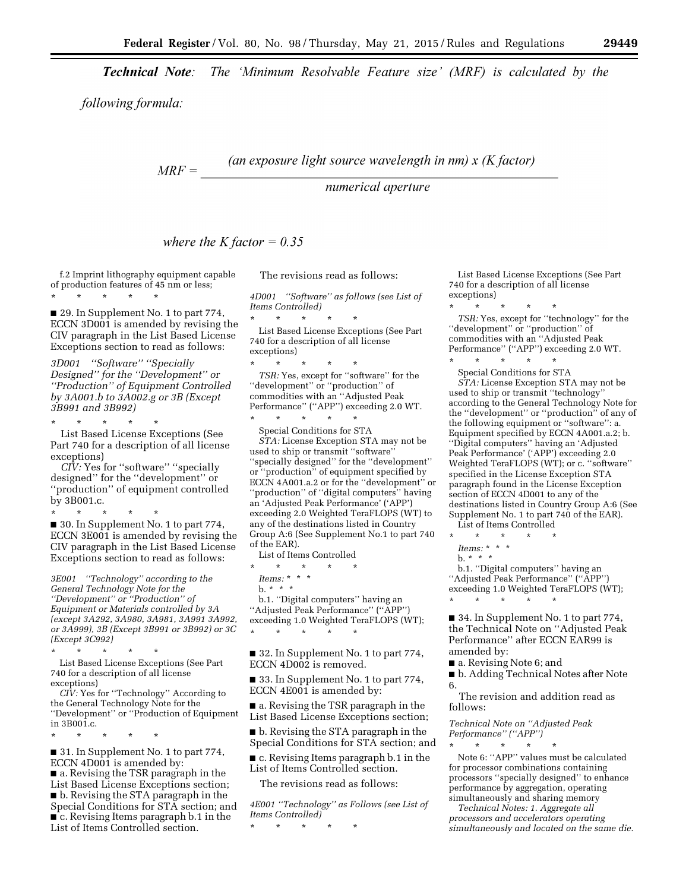**Technical Note:** The 'Minimum Resolvable Feature size' (MRF) is calculated by the

following formula:

(an exposure light source wavelength in  $nm$ )  $x$  (K factor)  $MRF =$ 

numerical aperture

where the K factor =  $0.35$ 

f.2 Imprint lithography equipment capable of production features of 45 nm or less; \* \* \* \* \*

■ 29. In Supplement No. 1 to part 774, ECCN 3D001 is amended by revising the CIV paragraph in the List Based License Exceptions section to read as follows:

*3D001 ''Software'' ''Specially Designed'' for the ''Development'' or ''Production'' of Equipment Controlled by 3A001.b to 3A002.g or 3B (Except 3B991 and 3B992)* 

\* \* \* \* \* List Based License Exceptions (See Part 740 for a description of all license exceptions)

*CIV:* Yes for ''software'' ''specially designed'' for the ''development'' or ''production'' of equipment controlled by 3B001.c.

\* \* \* \* \* ■ 30. In Supplement No. 1 to part 774, ECCN 3E001 is amended by revising the CIV paragraph in the List Based License Exceptions section to read as follows:

*3E001 ''Technology'' according to the General Technology Note for the ''Development'' or ''Production'' of Equipment or Materials controlled by 3A (except 3A292, 3A980, 3A981, 3A991 3A992, or 3A999), 3B (Except 3B991 or 3B992) or 3C (Except 3C992)*  \* \* \* \* \*

List Based License Exceptions (See Part 740 for a description of all license exceptions)

*CIV:* Yes for ''Technology'' According to the General Technology Note for the ''Development'' or ''Production of Equipment in 3B001.c.

\* \* \* \* \*

■ 31. In Supplement No. 1 to part 774, ECCN 4D001 is amended by: ■ a. Revising the TSR paragraph in the List Based License Exceptions section; ■ b. Revising the STA paragraph in the Special Conditions for STA section; and ■ c. Revising Items paragraph b.1 in the List of Items Controlled section.

The revisions read as follows:

*4D001 ''Software'' as follows (see List of Items Controlled)*  \* \* \* \* \*

List Based License Exceptions (See Part 740 for a description of all license exceptions)

\* \* \* \* \* *TSR:* Yes, except for ''software'' for the ''development'' or ''production'' of commodities with an ''Adjusted Peak Performance'' (''APP'') exceeding 2.0 WT. \* \* \* \* \*

Special Conditions for STA *STA:* License Exception STA may not be used to ship or transmit ''software'' ''specially designed'' for the ''development'' or ''production'' of equipment specified by ECCN 4A001.a.2 or for the ''development'' or ''production'' of ''digital computers'' having an 'Adjusted Peak Performance' ('APP') exceeding 2.0 Weighted TeraFLOPS (WT) to any of the destinations listed in Country Group A:6 (See Supplement No.1 to part 740 of the EAR).

List of Items Controlled

 $\star$   $\star$   $\star$ 

*Items:* \* \* \* b. \* \* \*

b.1. ''Digital computers'' having an ''Adjusted Peak Performance'' (''APP'') exceeding 1.0 Weighted TeraFLOPS (WT); \* \* \* \* \*

■ 32. In Supplement No. 1 to part 774, ECCN 4D002 is removed.

■ 33. In Supplement No. 1 to part 774, ECCN 4E001 is amended by:

■ a. Revising the TSR paragraph in the List Based License Exceptions section;

■ b. Revising the STA paragraph in the Special Conditions for STA section; and

■ c. Revising Items paragraph b.1 in the List of Items Controlled section.

The revisions read as follows:

*4E001 ''Technology'' as Follows (see List of Items Controlled)* 

\* \* \* \* \*

List Based License Exceptions (See Part 740 for a description of all license exceptions)

\* \* \* \* \*

*TSR:* Yes, except for ''technology'' for the ''development'' or ''production'' of commodities with an ''Adjusted Peak Performance" ("APP") exceeding 2.0 WT. \* \* \* \* \*

Special Conditions for STA *STA:* License Exception STA may not be used to ship or transmit ''technology'' according to the General Technology Note for the ''development'' or ''production'' of any of the following equipment or ''software'': a. Equipment specified by ECCN 4A001.a.2; b. ''Digital computers'' having an 'Adjusted Peak Performance' ('APP') exceeding 2.0 Weighted TeraFLOPS (WT); or c. ''software'' specified in the License Exception STA paragraph found in the License Exception section of ECCN 4D001 to any of the destinations listed in Country Group A:6 (See Supplement No. 1 to part 740 of the EAR). List of Items Controlled

\* \* \* \* \*

*Items:* \* \* \*

 $b. * * *$ 

b.1. ''Digital computers'' having an ''Adjusted Peak Performance'' (''APP'') exceeding 1.0 Weighted TeraFLOPS (WT); \* \* \* \* \*

■ 34. In Supplement No. 1 to part 774, the Technical Note on ''Adjusted Peak Performance'' after ECCN EAR99 is amended by:

■ a. Revising Note 6; and

■ b. Adding Technical Notes after Note 6.

The revision and addition read as follows:

*Technical Note on ''Adjusted Peak Performance'' (''APP'')*  \* \* \* \* \*

Note 6: ''APP'' values must be calculated for processor combinations containing processors ''specially designed'' to enhance performance by aggregation, operating simultaneously and sharing memory

*Technical Notes: 1. Aggregate all processors and accelerators operating simultaneously and located on the same die.*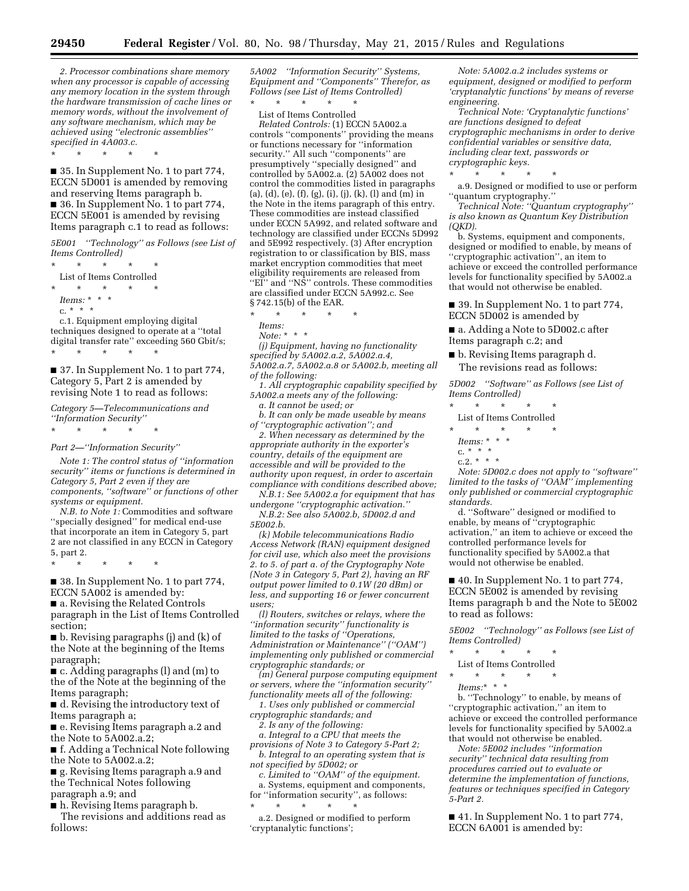*2. Processor combinations share memory when any processor is capable of accessing any memory location in the system through the hardware transmission of cache lines or memory words, without the involvement of any software mechanism, which may be achieved using ''electronic assemblies'' specified in 4A003.c.* 

\* \* \* \* \*

■ 35. In Supplement No. 1 to part 774, ECCN 5D001 is amended by removing and reserving Items paragraph b. ■ 36. In Supplement No. 1 to part 774, ECCN 5E001 is amended by revising Items paragraph c.1 to read as follows:

*5E001 ''Technology'' as Follows (see List of Items Controlled)* 

 $\star$   $\star$ List of Items Controlled  $\star$   $\star$   $\star$ *Items:* \* \* \* c. \* \* \*

c.1. Equipment employing digital techniques designed to operate at a ''total digital transfer rate'' exceeding 560 Gbit/s; \* \* \* \* \*

■ 37. In Supplement No. 1 to part 774, Category 5, Part 2 is amended by revising Note 1 to read as follows:

*Category 5—Telecommunications and ''Information Security''* 

 $\star$   $\star$   $\star$ 

*Part 2—''Information Security''* 

*Note 1: The control status of ''information security'' items or functions is determined in Category 5, Part 2 even if they are components, ''software'' or functions of other systems or equipment.* 

*N.B. to Note 1:* Commodities and software ''specially designed'' for medical end-use that incorporate an item in Category 5, part 2 are not classified in any ECCN in Category 5, part 2.

\* \* \* \* \*

■ 38. In Supplement No. 1 to part 774, ECCN 5A002 is amended by:

■ a. Revising the Related Controls paragraph in the List of Items Controlled section;

■ b. Revising paragraphs (j) and (k) of the Note at the beginning of the Items paragraph;

■ c. Adding paragraphs (l) and (m) to the of the Note at the beginning of the Items paragraph;

■ d. Revising the introductory text of Items paragraph a;

■ e. Revising Items paragraph a.2 and the Note to 5A002.a.2;

■ f. Adding a Technical Note following the Note to 5A002.a.2;

■ g. Revising Items paragraph a.9 and the Technical Notes following paragraph a.9; and

■ h. Revising Items paragraph b.

The revisions and additions read as follows:

*5A002 ''Information Security'' Systems, Equipment and ''Components'' Therefor, as Follows (see List of Items Controlled)*  \* \* \* \* \*

List of Items Controlled

*Related Controls:* (1) ECCN 5A002.a controls ''components'' providing the means or functions necessary for ''information security.'' All such ''components'' are presumptively ''specially designed'' and controlled by 5A002.a. (2) 5A002 does not control the commodities listed in paragraphs (a), (d), (e), (f), (g), (i), (j), (k), (l) and (m) in the Note in the items paragraph of this entry. These commodities are instead classified under ECCN 5A992, and related software and technology are classified under ECCNs 5D992 and 5E992 respectively. (3) After encryption registration to or classification by BIS, mass market encryption commodities that meet eligibility requirements are released from "EI" and "NS" controls. These commodities are classified under ECCN 5A992.c. See § 742.15(b) of the EAR.

\* \* \* \* \*

*Items:* 

*Note:* \* \* \*

*(j) Equipment, having no functionality specified by 5A002.a.2, 5A002.a.4,* 

*5A002.a.7, 5A002.a.8 or 5A002.b, meeting all of the following:* 

*1. All cryptographic capability specified by 5A002.a meets any of the following: a. It cannot be used; or* 

*b. It can only be made useable by means of ''cryptographic activation''; and* 

*2. When necessary as determined by the appropriate authority in the exporter's country, details of the equipment are accessible and will be provided to the authority upon request, in order to ascertain compliance with conditions described above;* 

*N.B.1: See 5A002.a for equipment that has undergone ''cryptographic activation.''* 

*N.B.2: See also 5A002.b, 5D002.d and 5E002.b.* 

*(k) Mobile telecommunications Radio Access Network (RAN) equipment designed for civil use, which also meet the provisions 2. to 5. of part a. of the Cryptography Note (Note 3 in Category 5, Part 2), having an RF output power limited to 0.1W (20 dBm) or less, and supporting 16 or fewer concurrent users;* 

*(l) Routers, switches or relays, where the ''information security'' functionality is limited to the tasks of ''Operations, Administration or Maintenance'' (''OAM'') implementing only published or commercial cryptographic standards; or* 

*(m) General purpose computing equipment or servers, where the ''information security'' functionality meets all of the following:* 

*1. Uses only published or commercial cryptographic standards; and* 

*2. Is any of the following:* 

*a. Integral to a CPU that meets the provisions of Note 3 to Category 5-Part 2;* 

*b. Integral to an operating system that is not specified by 5D002; or* 

*c. Limited to ''OAM'' of the equipment.* 

a. Systems, equipment and components, for ''information security'', as follows:

\* \* \* \* \*

a.2. Designed or modified to perform 'cryptanalytic functions';

*Note: 5A002.a.2 includes systems or equipment, designed or modified to perform 'cryptanalytic functions' by means of reverse engineering.* 

*Technical Note: 'Cryptanalytic functions' are functions designed to defeat cryptographic mechanisms in order to derive confidential variables or sensitive data, including clear text, passwords or cryptographic keys.* 

\* \* \* \* \* a.9. Designed or modified to use or perform 'quantum cryptography.''

*Technical Note: ''Quantum cryptography'' is also known as Quantum Key Distribution (QKD).* 

b. Systems, equipment and components, designed or modified to enable, by means of ''cryptographic activation'', an item to achieve or exceed the controlled performance levels for functionality specified by 5A002.a that would not otherwise be enabled.

■ 39. In Supplement No. 1 to part 774, ECCN 5D002 is amended by

■ a. Adding a Note to 5D002.c after Items paragraph c.2; and

■ b. Revising Items paragraph d. The revisions read as follows:

*5D002 ''Software'' as Follows (see List of Items Controlled)* 

\* \* \* \* \*

List of Items Controlled

\* \* \* \* \*

*Items:* \* \* \*

c. \* \* \* c.2.  $* * * *$ 

*Note: 5D002.c does not apply to ''software'' limited to the tasks of ''OAM'' implementing only published or commercial cryptographic standards.* 

d. ''Software'' designed or modified to enable, by means of ''cryptographic activation,'' an item to achieve or exceed the controlled performance levels for functionality specified by 5A002.a that would not otherwise be enabled.

■ 40. In Supplement No. 1 to part 774, ECCN 5E002 is amended by revising Items paragraph b and the Note to 5E002 to read as follows:

*5E002 ''Technology'' as Follows (see List of Items Controlled)* 

\* \* \* \* \*

List of Items Controlled

\* \* \* \* \*

*Items:*\* \* \*

b. ''Technology'' to enable, by means of ''cryptographic activation,'' an item to achieve or exceed the controlled performance levels for functionality specified by 5A002.a that would not otherwise be enabled.

*Note: 5E002 includes ''information security'' technical data resulting from procedures carried out to evaluate or determine the implementation of functions, features or techniques specified in Category 5-Part 2.* 

■ 41. In Supplement No. 1 to part 774, ECCN 6A001 is amended by: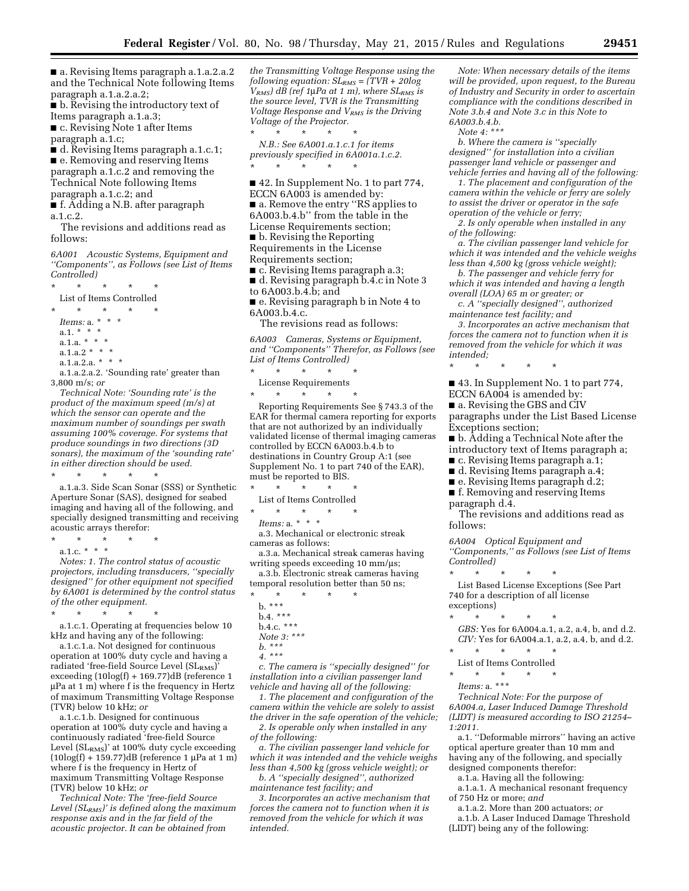■ a. Revising Items paragraph a.1.a.2.a.2 and the Technical Note following Items paragraph a.1.a.2.a.2;

■ b. Revising the introductory text of Items paragraph a.1.a.3; ■ c. Revising Note 1 after Items

paragraph a.1.c;

■ d. Revising Items paragraph a.1.c.1; ■ e. Removing and reserving Items paragraph a.1.c.2 and removing the Technical Note following Items paragraph a.1.c.2; and

■ f. Adding a N.B. after paragraph a.1.c.2.

The revisions and additions read as follows:

*6A001 Acoustic Systems, Equipment and ''Components'', as Follows (see List of Items Controlled)* 

\* \* \* \* \* List of Items Controlled

\* \* \* \* \*

*Items:* a. \* \* \* a.1. \* \* \* a.1.a.  $* * * *$ a.1.a.2 \* \* \* a.1.a.2.a. \* \* \*

a.1.a.2.a.2. 'Sounding rate' greater than 3,800 m/s; *or* 

*Technical Note: 'Sounding rate' is the product of the maximum speed (m/s) at which the sensor can operate and the maximum number of soundings per swath assuming 100% coverage. For systems that produce soundings in two directions (3D sonars), the maximum of the 'sounding rate' in either direction should be used.* 

\* \* \* \* \* a.1.a.3. Side Scan Sonar (SSS) or Synthetic Aperture Sonar (SAS), designed for seabed imaging and having all of the following, and specially designed transmitting and receiving acoustic arrays therefor:

\* \* \* \* \*

a.1.c. \* \* \*

*Notes: 1. The control status of acoustic projectors, including transducers, ''specially designed'' for other equipment not specified by 6A001 is determined by the control status of the other equipment.* 

\* \* \* \* \* a.1.c.1. Operating at frequencies below 10

kHz and having any of the following:

a.1.c.1.a. Not designed for continuous operation at 100% duty cycle and having a radiated 'free-field Source Level (SLRMS)' exceeding (10log(f) + 169.77)dB (reference 1 mPa at 1 m) where f is the frequency in Hertz of maximum Transmitting Voltage Response (TVR) below 10 kHz; *or* 

a.1.c.1.b. Designed for continuous operation at 100% duty cycle and having a continuously radiated 'free-field Source Level (SL<sub>RMS</sub>)' at 100% duty cycle exceeding  $(10\log(f) + 159.77)$ dB (reference 1 µPa at 1 m) where f is the frequency in Hertz of maximum Transmitting Voltage Response (TVR) below 10 kHz; *or* 

*Technical Note: The 'free-field Source Level (SLRMS)' is defined along the maximum response axis and in the far field of the acoustic projector. It can be obtained from* 

*the Transmitting Voltage Response using the following equation: SLRMS = (TVR + 20log*   $\tilde{V}_{RMS}$ *) dB* (ref 1µ*Pa at 1 m), where SL<sub>RMS</sub> is the source level, TVR is the Transmitting Voltage Response and VRMS is the Driving Voltage of the Projector.*  \* \* \* \* \*

*N.B.: See 6A001.a.1.c.1 for items previously specified in 6A001a.1.c.2.* 

\* \* \* \* \* ■ 42. In Supplement No. 1 to part 774,

ECCN 6A003 is amended by: ■ a. Remove the entry "RS applies to 6A003.b.4.b'' from the table in the

License Requirements section;

■ b. Revising the Reporting

Requirements in the License

Requirements section; ■ c. Revising Items paragraph a.3; ■ d. Revising paragraph b.4.c in Note 3

to 6A003.b.4.b; and

■ e. Revising paragraph b in Note 4 to 6A003.b.4.c.

The revisions read as follows:

*6A003 Cameras, Systems or Equipment, and ''Components'' Therefor, as Follows (see List of Items Controlled)* 

 $\star$   $\qquad$   $\star$   $\qquad$   $\star$ 

License Requirements \* \* \* \* \*

Reporting Requirements See § 743.3 of the EAR for thermal camera reporting for exports that are not authorized by an individually validated license of thermal imaging cameras controlled by ECCN 6A003.b.4.b to destinations in Country Group A:1 (see Supplement No. 1 to part 740 of the EAR), must be reported to BIS.<br> $*$   $*$   $*$   $*$ 

\* \* \* \* \*

List of Items Controlled \* \* \* \* \*

*Items:* a. \* \* \*

a.3. Mechanical or electronic streak cameras as follows:

a.3.a. Mechanical streak cameras having writing speeds exceeding  $10 \text{ mm}/\mu\text{s}$ ;

a.3.b. Electronic streak cameras having temporal resolution better than 50 ns;

- \* \* \* \* \* b. \*\*\*
- b.4. \*\*\*
- b.4.c. \*\*\*
- *Note 3: \*\*\**
- *b. \*\*\**
- *4. \*\*\**

*c. The camera is ''specially designed'' for installation into a civilian passenger land vehicle and having all of the following:* 

*1. The placement and configuration of the camera within the vehicle are solely to assist the driver in the safe operation of the vehicle; 2. Is operable only when installed in any of the following:* 

*a. The civilian passenger land vehicle for which it was intended and the vehicle weighs less than 4,500 kg (gross vehicle weight); or* 

*b. A ''specially designed'', authorized maintenance test facility; and* 

*3. Incorporates an active mechanism that forces the camera not to function when it is removed from the vehicle for which it was intended.* 

*Note: When necessary details of the items will be provided, upon request, to the Bureau of Industry and Security in order to ascertain compliance with the conditions described in Note 3.b.4 and Note 3.c in this Note to 6A003.b.4.b.* 

*Note 4: \*\*\** 

*b. Where the camera is ''specially designed'' for installation into a civilian passenger land vehicle or passenger and vehicle ferries and having all of the following:* 

*1. The placement and configuration of the camera within the vehicle or ferry are solely to assist the driver or operator in the safe operation of the vehicle or ferry;* 

*2. Is only operable when installed in any of the following:* 

*a. The civilian passenger land vehicle for which it was intended and the vehicle weighs less than 4,500 kg (gross vehicle weight);* 

*b. The passenger and vehicle ferry for which it was intended and having a length overall (LOA) 65 m or greater; or* 

*c. A ''specially designed'', authorized maintenance test facility; and* 

*3. Incorporates an active mechanism that forces the camera not to function when it is removed from the vehicle for which it was intended;* 

\* \* \* \* \*

■ 43. In Supplement No. 1 to part 774, ECCN 6A004 is amended by:

■ a. Revising the GBS and CIV paragraphs under the List Based License Exceptions section;

■ b. Adding a Technical Note after the introductory text of Items paragraph a;

- c. Revising Items paragraph a.1;
- d. Revising Items paragraph a.4;
- e. Revising Items paragraph d.2;
- f. Removing and reserving Items
- paragraph d.4.

The revisions and additions read as follows:

*6A004 Optical Equipment and ''Components,'' as Follows (see List of Items Controlled)* 

\* \* \* \* \* List Based License Exceptions (See Part 740 for a description of all license exceptions)

- 
- \* \* \* \* \* *GBS:* Yes for 6A004.a.1, a.2, a.4, b, and d.2. *CIV:* Yes for 6A004.a.1, a.2, a.4, b, and d.2. \* \* \* \* \*
- 

List of Items Controlled<br>\* \* \* \* \* \* \* \* \* \* \*

*Items:* a. \*\*\*

*Technical Note: For the purpose of 6A004.a, Laser Induced Damage Threshold (LIDT) is measured according to ISO 21254– 1:2011.* 

a.1. ''Deformable mirrors'' having an active optical aperture greater than 10 mm and having any of the following, and specially designed components therefor:

a.1.a. Having all the following:

a.1.a.1. A mechanical resonant frequency of 750 Hz or more; *and* 

a.1.a.2. More than 200 actuators; *or* 

a.1.b. A Laser Induced Damage Threshold (LIDT) being any of the following: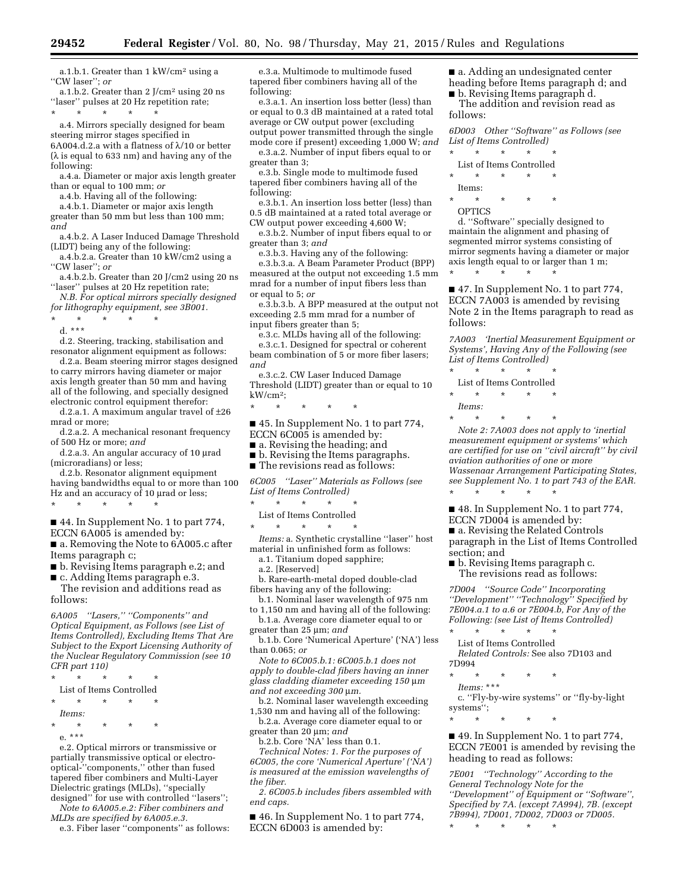a.1.b.1. Greater than 1 kW/cm2 using a ''CW laser''; *or* 

a.1.b.2. Greater than 2 J/cm2 using 20 ns ''laser'' pulses at 20 Hz repetition rate; \* \* \* \* \*

a.4. Mirrors specially designed for beam steering mirror stages specified in 6A004.d.2.a with a flatness of  $\lambda$ /10 or better  $(\lambda \text{ is equal to } 633 \text{ nm})$  and having any of the following:

a.4.a. Diameter or major axis length greater than or equal to 100 mm; *or* 

a.4.b. Having all of the following:

a.4.b.1. Diameter or major axis length greater than 50 mm but less than 100 mm; *and* 

a.4.b.2. A Laser Induced Damage Threshold (LIDT) being any of the following:

a.4.b.2.a. Greater than 10 kW/cm2 using a ''CW laser''; *or* 

a.4.b.2.b. Greater than 20 J/cm2 using 20 ns "laser" pulses at 20 Hz repetition rate;

*N.B. For optical mirrors specially designed for lithography equipment, see 3B001.* 

\* \* \* \* \*

d. \*\*\*

d.2. Steering, tracking, stabilisation and resonator alignment equipment as follows:

d.2.a. Beam steering mirror stages designed to carry mirrors having diameter or major axis length greater than 50 mm and having all of the following, and specially designed electronic control equipment therefor:

d.2.a.1. A maximum angular travel of ±26 mrad or more;

d.2.a.2. A mechanical resonant frequency of 500 Hz or more; *and* 

d.2.a.3. An angular accuracy of 10 µrad (microradians) or less;

d.2.b. Resonator alignment equipment having bandwidths equal to or more than 100 Hz and an accuracy of 10 µrad or less;

■ 44. In Supplement No. 1 to part 774, ECCN 6A005 is amended by:

\* \* \* \* \*

■ a. Removing the Note to 6A005.c after Items paragraph c;

■ b. Revising Items paragraph e.2; and

■ c. Adding Items paragraph e.3. The revision and additions read as follows:

*6A005 ''Lasers,'' ''Components'' and Optical Equipment, as Follows (see List of Items Controlled), Excluding Items That Are Subject to the Export Licensing Authority of the Nuclear Regulatory Commission (see 10 CFR part 110)* 

\* \* \* \* \*

List of Items Controlled

- \* \* \* \* \* *Items:*
- \* \* \* \* \*

e. \*\*\*

e.2. Optical mirrors or transmissive or partially transmissive optical or electrooptical-''components,'' other than fused tapered fiber combiners and Multi-Layer Dielectric gratings (MLDs), ''specially designed'' for use with controlled ''lasers'';

*Note to 6A005.e.2: Fiber combiners and MLDs are specified by 6A005.e.3.* 

e.3. Fiber laser ''components'' as follows:

e.3.a. Multimode to multimode fused tapered fiber combiners having all of the following:

e.3.a.1. An insertion loss better (less) than or equal to 0.3 dB maintained at a rated total average or CW output power (excluding output power transmitted through the single mode core if present) exceeding 1,000 W; *and*  e.3.a.2. Number of input fibers equal to or

greater than 3; e.3.b. Single mode to multimode fused

tapered fiber combiners having all of the following:

e.3.b.1. An insertion loss better (less) than 0.5 dB maintained at a rated total average or CW output power exceeding 4,600 W;

e.3.b.2. Number of input fibers equal to or greater than 3; *and* 

e.3.b.3. Having any of the following:

e.3.b.3.a. A Beam Parameter Product (BPP) measured at the output not exceeding 1.5 mm mrad for a number of input fibers less than or equal to 5; *or* 

e.3.b.3.b. A BPP measured at the output not exceeding 2.5 mm mrad for a number of input fibers greater than 5;

e.3.c. MLDs having all of the following:

e.3.c.1. Designed for spectral or coherent beam combination of 5 or more fiber lasers; *and* 

e.3.c.2. CW Laser Induced Damage Threshold (LIDT) greater than or equal to 10 kW/cm2;

\* \* \* \* \*

■ 45. In Supplement No. 1 to part 774, ECCN 6C005 is amended by:

■ a. Revising the heading; and

■ b. Revising the Items paragraphs. ■ The revisions read as follows:

*6C005 ''Laser'' Materials as Follows (see List of Items Controlled)* 

\* \* \* \* \*

List of Items Controlled  $\star$   $\star$ 

*Items:* a. Synthetic crystalline ''laser'' host material in unfinished form as follows:

a.1. Titanium doped sapphire;

a.2. [Reserved]

b. Rare-earth-metal doped double-clad fibers having any of the following:

b.1. Nominal laser wavelength of 975 nm to 1,150 nm and having all of the following:

b.1.a. Average core diameter equal to or greater than 25 µm; and

b.1.b. Core 'Numerical Aperture' ('NA') less than 0.065; *or* 

*Note to 6C005.b.1: 6C005.b.1 does not apply to double-clad fibers having an inner glass cladding diameter exceeding 150* m*m and not exceeding 300* m*m.* 

b.2. Nominal laser wavelength exceeding 1,530 nm and having all of the following:

b.2.a. Average core diameter equal to or greater than 20 µm; and

b.2.b. Core 'NA' less than 0.1.

*Technical Notes: 1. For the purposes of 6C005, the core 'Numerical Aperture' ('NA') is measured at the emission wavelengths of the fiber.* 

*2. 6C005.b includes fibers assembled with end caps.* 

■ 46. In Supplement No. 1 to part 774, ECCN 6D003 is amended by:

■ a. Adding an undesignated center heading before Items paragraph d; and

■ b. Revising Items paragraph d. The addition and revision read as follows:

*6D003 Other ''Software'' as Follows (see* 

*List of Items Controlled)*  \* \* \* \* \*

List of Items Controlled

\* \* \* \* \*

Items:

\* \* \* \* \* OPTICS

d. ''Software'' specially designed to maintain the alignment and phasing of segmented mirror systems consisting of mirror segments having a diameter or major axis length equal to or larger than 1 m;

■ 47. In Supplement No. 1 to part 774, ECCN 7A003 is amended by revising Note 2 in the Items paragraph to read as follows:

*7A003 'Inertial Measurement Equipment or Systems', Having Any of the Following (see List of Items Controlled)* 

\* \* \* \* \* List of Items Controlled

\* \* \* \* \*

\* \* \* \* \*

*Items:* 

\* \* \* \* \*

*Note 2: 7A003 does not apply to 'inertial measurement equipment or systems' which are certified for use on ''civil aircraft'' by civil aviation authorities of one or more Wassenaar Arrangement Participating States, see Supplement No. 1 to part 743 of the EAR.*  \* \* \* \* \*

■ 48. In Supplement No. 1 to part 774, ECCN 7D004 is amended by:

■ a. Revising the Related Controls paragraph in the List of Items Controlled section; and

■ b. Revising Items paragraph c. The revisions read as follows:

*7D004 ''Source Code'' Incorporating ''Development'' ''Technology'' Specified by 7E004.a.1 to a.6 or 7E004.b, For Any of the Following: (see List of Items Controlled)* 

\* \* \* \* \* List of Items Controlled

*Related Controls:* See also 7D103 and 7D994

- \* \* \* \* \*
- *Items:* \*\*\*

c. ''Fly-by-wire systems'' or ''fly-by-light systems'';

\* \* \* \* \*

■ 49. In Supplement No. 1 to part 774, ECCN 7E001 is amended by revising the heading to read as follows:

*7E001 ''Technology'' According to the General Technology Note for the ''Development'' of Equipment or ''Software'', Specified by 7A. (except 7A994), 7B. (except 7B994), 7D001, 7D002, 7D003 or 7D005.* 

\* \* \* \* \*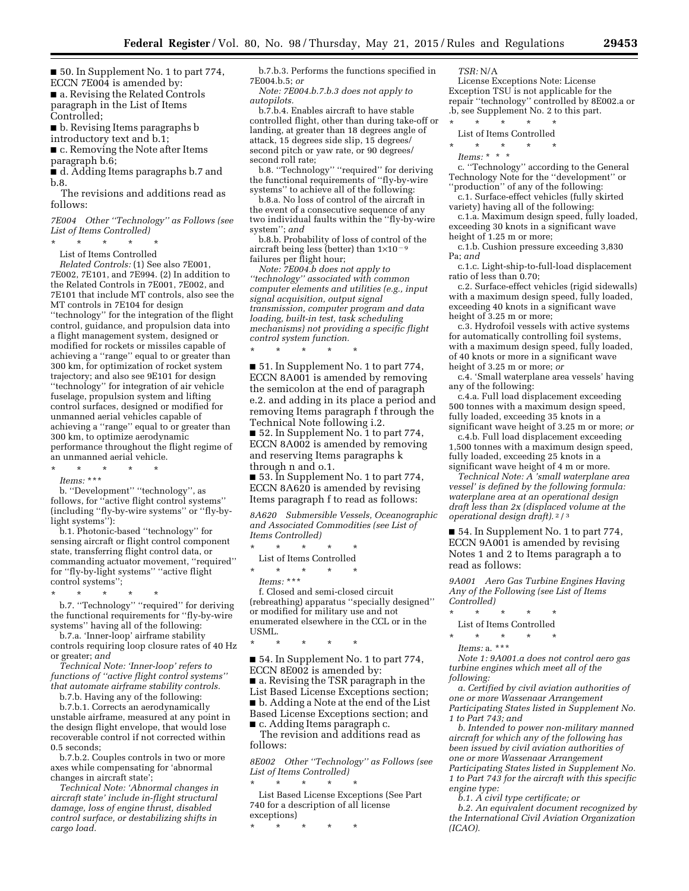■ 50. In Supplement No. 1 to part 774, ECCN 7E004 is amended by: ■ a. Revising the Related Controls paragraph in the List of Items Controlled;

■ b. Revising Items paragraphs b

introductory text and b.1;

■ c. Removing the Note after Items

paragraph b.6;

■ d. Adding Items paragraphs b.7 and b.8.

The revisions and additions read as follows:

*7E004 Other ''Technology'' as Follows (see List of Items Controlled)* 

\* \* \* \* \*

List of Items Controlled *Related Controls:* (1) See also 7E001, 7E002, 7E101, and 7E994. (2) In addition to the Related Controls in 7E001, 7E002, and 7E101 that include MT controls, also see the MT controls in 7E104 for design ''technology'' for the integration of the flight control, guidance, and propulsion data into a flight management system, designed or modified for rockets or missiles capable of achieving a ''range'' equal to or greater than 300 km, for optimization of rocket system trajectory; and also see 9E101 for design ''technology'' for integration of air vehicle fuselage, propulsion system and lifting control surfaces, designed or modified for unmanned aerial vehicles capable of achieving a ''range'' equal to or greater than 300 km, to optimize aerodynamic performance throughout the flight regime of an unmanned aerial vehicle.

\* \* \* \* \* *Items:* \*\*\*

b. ''Development'' ''technology'', as follows, for "active flight control systems" (including ''fly-by-wire systems'' or ''fly-bylight systems''):

b.1. Photonic-based ''technology'' for sensing aircraft or flight control component state, transferring flight control data, or commanding actuator movement, ''required'' for ''fly-by-light systems'' ''active flight control systems'';

\* \* \* \* \* b.7. ''Technology'' ''required'' for deriving the functional requirements for ''fly-by-wire systems'' having all of the following:

b.7.a. 'Inner-loop' airframe stability controls requiring loop closure rates of 40 Hz or greater; *and* 

*Technical Note: 'Inner-loop' refers to functions of ''active flight control systems'' that automate airframe stability controls.* 

b.7.b. Having any of the following:

b.7.b.1. Corrects an aerodynamically unstable airframe, measured at any point in the design flight envelope, that would lose recoverable control if not corrected within 0.5 seconds;

b.7.b.2. Couples controls in two or more axes while compensating for 'abnormal changes in aircraft state';

*Technical Note: 'Abnormal changes in aircraft state' include in-flight structural damage, loss of engine thrust, disabled control surface, or destabilizing shifts in cargo load.* 

b.7.b.3. Performs the functions specified in 7E004.b.5; *or Note: 7E004.b.7.b.3 does not apply to* 

*autopilots.* 

b.7.b.4. Enables aircraft to have stable controlled flight, other than during take-off or landing, at greater than 18 degrees angle of attack, 15 degrees side slip, 15 degrees/ second pitch or yaw rate, or 90 degrees/ second roll rate;

b.8. ''Technology'' ''required'' for deriving the functional requirements of ''fly-by-wire systems'' to achieve all of the following:

b.8.a. No loss of control of the aircraft in the event of a consecutive sequence of any two individual faults within the ''fly-by-wire system''; *and* 

b.8.b. Probability of loss of control of the aircraft being less (better) than  $1\times10^{-9}$ failures per flight hour;

*Note: 7E004.b does not apply to ''technology'' associated with common computer elements and utilities (e.g., input signal acquisition, output signal transmission, computer program and data loading, built-in test, task scheduling mechanisms) not providing a specific flight control system function.* 

■ 51. In Supplement No. 1 to part 774, ECCN 8A001 is amended by removing the semicolon at the end of paragraph e.2. and adding in its place a period and removing Items paragraph f through the Technical Note following i.2.

■ 52. In Supplement No. 1 to part 774, ECCN 8A002 is amended by removing and reserving Items paragraphs k through n and o.1.

■ 53. In Supplement No. 1 to part 774, ECCN 8A620 is amended by revising Items paragraph f to read as follows:

*8A620 Submersible Vessels, Oceanographic and Associated Commodities (see List of Items Controlled)* 

\* \* \* \* \* List of Items Controlled  $\star$   $\star$   $\star$ 

\* \* \* \* \*

*Items:* \*\*\*

f. Closed and semi-closed circuit (rebreathing) apparatus ''specially designed'' or modified for military use and not enumerated elsewhere in the CCL or in the USML.

\* \* \* \* \*

■ 54. In Supplement No. 1 to part 774, ECCN 8E002 is amended by:

■ a. Revising the TSR paragraph in the List Based License Exceptions section; ■ b. Adding a Note at the end of the List Based License Exceptions section; and ■ c. Adding Items paragraph c.

The revision and additions read as follows:

*8E002 Other ''Technology'' as Follows (see List of Items Controlled)*  \* \* \* \* \*

List Based License Exceptions (See Part 740 for a description of all license exceptions)

\* \* \* \* \*

*TSR:* N/A

License Exceptions Note: License Exception TSU is not applicable for the repair ''technology'' controlled by 8E002.a or .b, see Supplement No. 2 to this part. \* \* \* \* \*

List of Items Controlled

\* \* \* \* \*

*Items:* \* \* \*

c. ''Technology'' according to the General Technology Note for the ''development'' or ''production'' of any of the following:

c.1. Surface-effect vehicles (fully skirted variety) having all of the following:

c.1.a. Maximum design speed, fully loaded, exceeding 30 knots in a significant wave height of 1.25 m or more;

c.1.b. Cushion pressure exceeding 3,830 Pa; *and* 

c.1.c. Light-ship-to-full-load displacement ratio of less than 0.70;

c.2. Surface-effect vehicles (rigid sidewalls) with a maximum design speed, fully loaded, exceeding 40 knots in a significant wave height of 3.25 m or more;

c.3. Hydrofoil vessels with active systems for automatically controlling foil systems, with a maximum design speed, fully loaded, of 40 knots or more in a significant wave height of 3.25 m or more; *or* 

c.4. 'Small waterplane area vessels' having any of the following:

c.4.a. Full load displacement exceeding 500 tonnes with a maximum design speed, fully loaded, exceeding 35 knots in a significant wave height of 3.25 m or more; *or* 

c.4.b. Full load displacement exceeding 1,500 tonnes with a maximum design speed, fully loaded, exceeding 25 knots in a significant wave height of 4 m or more.

*Technical Note: A 'small waterplane area vessel' is defined by the following formula: waterplane area at an operational design draft less than 2x (displaced volume at the operational design draft).* 2 / 3

■ 54. In Supplement No. 1 to part 774, ECCN 9A001 is amended by revising Notes 1 and 2 to Items paragraph a to read as follows:

*9A001 Aero Gas Turbine Engines Having Any of the Following (see List of Items Controlled)* 

\* \* \* \* \*

List of Items Controlled

\* \* \* \* \*

*Items:* a. \*\*\*

*Note 1: 9A001.a does not control aero gas turbine engines which meet all of the following:* 

*a. Certified by civil aviation authorities of one or more Wassenaar Arrangement Participating States listed in Supplement No. 1 to Part 743; and* 

*b. Intended to power non-military manned aircraft for which any of the following has been issued by civil aviation authorities of one or more Wassenaar Arrangement Participating States listed in Supplement No. 1 to Part 743 for the aircraft with this specific engine type:* 

*b.1. A civil type certificate; or* 

*b.2. An equivalent document recognized by the International Civil Aviation Organization (ICAO).*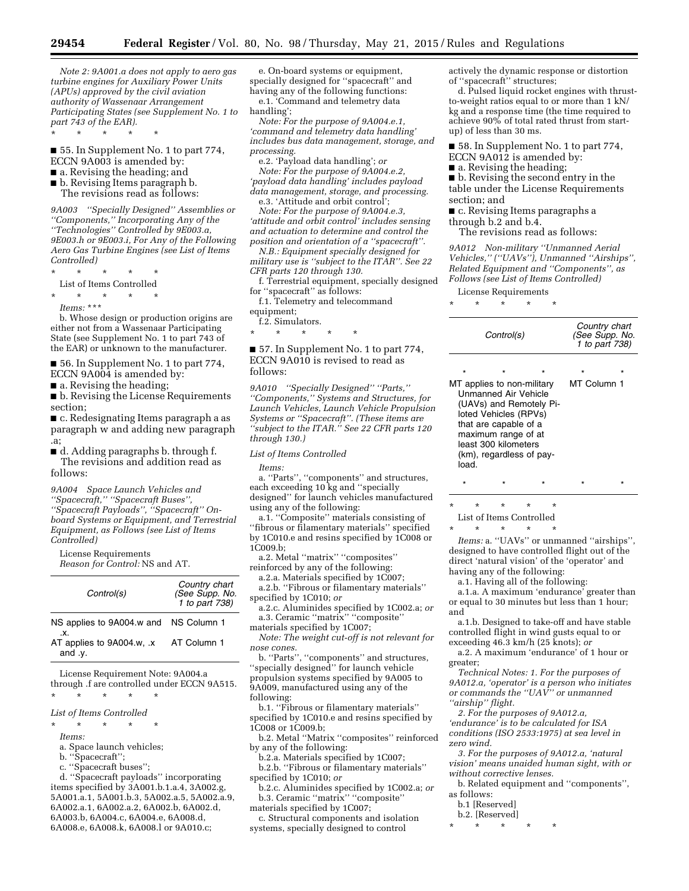*Note 2: 9A001.a does not apply to aero gas turbine engines for Auxiliary Power Units (APUs) approved by the civil aviation authority of Wassenaar Arrangement Participating States (see Supplement No. 1 to part 743 of the EAR).* 

\* \* \* \* \*

■ 55. In Supplement No. 1 to part 774, ECCN 9A003 is amended by:

- a. Revising the heading; and
- b. Revising Items paragraph b. The revisions read as follows:

*9A003 ''Specially Designed'' Assemblies or ''Components,'' Incorporating Any of the ''Technologies'' Controlled by 9E003.a, 9E003.h or 9E003.i, For Any of the Following Aero Gas Turbine Engines (see List of Items Controlled)* 

\* \* \* \* \*

List of Items Controlled

\* \* \* \* \*

*Items:* \*\*\*

b. Whose design or production origins are either not from a Wassenaar Participating State (see Supplement No. 1 to part 743 of the EAR) or unknown to the manufacturer.

■ 56. In Supplement No. 1 to part 774, ECCN 9A004 is amended by:

■ a. Revising the heading;

■ b. Revising the License Requirements section;

■ c. Redesignating Items paragraph a as paragraph w and adding new paragraph .a;

■ d. Adding paragraphs b. through f. The revisions and addition read as follows:

*9A004 Space Launch Vehicles and ''Spacecraft,'' ''Spacecraft Buses'', ''Spacecraft Payloads'', ''Spacecraft'' Onboard Systems or Equipment, and Terrestrial Equipment, as Follows (see List of Items Controlled)* 

License Requirements *Reason for Control:* NS and AT.

| Control(s)                                              | Country chart<br>(See Supp. No. 1 to part 738) |
|---------------------------------------------------------|------------------------------------------------|
| NS applies to 9A004.w and NS Column 1<br>$\mathbf{x}$ . |                                                |

AT applies to 9A004.w, .x and .y. AT Column 1

License Requirement Note: 9A004.a through .f are controlled under ECCN 9A515. \* \* \* \* \*

#### *List of Items Controlled*

\* \* \* \* \*

*Items:* 

- a. Space launch vehicles;
- b. ''Spacecraft'';
- c. ''Spacecraft buses'';

d. ''Spacecraft payloads'' incorporating items specified by 3A001.b.1.a.4, 3A002.g, 5A001.a.1, 5A001.b.3, 5A002.a.5, 5A002.a.9, 6A002.a.1, 6A002.a.2, 6A002.b, 6A002.d, 6A003.b, 6A004.c, 6A004.e, 6A008.d, 6A008.e, 6A008.k, 6A008.l or 9A010.c;

e. On-board systems or equipment, specially designed for ''spacecraft'' and having any of the following functions: e.1. 'Command and telemetry data handling';

*Note: For the purpose of 9A004.e.1, 'command and telemetry data handling' includes bus data management, storage, and processing.* 

e.2. 'Payload data handling'; *or* 

*Note: For the purpose of 9A004.e.2, 'payload data handling' includes payload data management, storage, and processing.*  e.3. 'Attitude and orbit control';

*Note: For the purpose of 9A004.e.3, 'attitude and orbit control' includes sensing and actuation to determine and control the position and orientation of a ''spacecraft''.* 

*N.B.: Equipment specially designed for military use is ''subject to the ITAR''. See 22 CFR parts 120 through 130.* 

f. Terrestrial equipment, specially designed for ''spacecraft'' as follows:

f.1. Telemetry and telecommand

equipment;

f.2. Simulators. \* \* \* \* \*

### ■ 57. In Supplement No. 1 to part 774, ECCN 9A010 is revised to read as follows:

*9A010 ''Specially Designed'' ''Parts,'' ''Components,'' Systems and Structures, for Launch Vehicles, Launch Vehicle Propulsion Systems or ''Spacecraft''. (These items are ''subject to the ITAR.'' See 22 CFR parts 120 through 130.)* 

*List of Items Controlled* 

*Items:* 

a. ''Parts'', ''components'' and structures, each exceeding 10 kg and "specially designed'' for launch vehicles manufactured using any of the following:

a.1. ''Composite'' materials consisting of ''fibrous or filamentary materials'' specified by 1C010.e and resins specified by 1C008 or 1C009.b;

a.2. Metal ''matrix'' ''composites'' reinforced by any of the following:

a.2.a. Materials specified by 1C007;

a.2.b. ''Fibrous or filamentary materials'' specified by 1C010; *or* 

a.2.c. Aluminides specified by 1C002.a; *or*  a.3. Ceramic ''matrix'' ''composite''

materials specified by 1C007; *Note: The weight cut-off is not relevant for nose cones.* 

b. ''Parts'', ''components'' and structures, ''specially designed'' for launch vehicle propulsion systems specified by 9A005 to 9A009, manufactured using any of the following:

b.1. ''Fibrous or filamentary materials'' specified by 1C010.e and resins specified by 1C008 or 1C009.b;

b.2. Metal ''Matrix ''composites'' reinforced by any of the following:

b.2.a. Materials specified by 1C007;

b.2.b. ''Fibrous or filamentary materials'' specified by 1C010; *or*  b.2.c. Aluminides specified by 1C002.a; *or* 

b.3. Ceramic ''matrix'' ''composite'' materials specified by 1C007;

c. Structural components and isolation systems, specially designed to control

actively the dynamic response or distortion of ''spacecraft'' structures;

d. Pulsed liquid rocket engines with thrustto-weight ratios equal to or more than 1 kN/ kg and a response time (the time required to achieve 90% of total rated thrust from startup) of less than 30 ms.

■ 58. In Supplement No. 1 to part 774, ECCN 9A012 is amended by:

■ a. Revising the heading;

■ b. Revising the second entry in the table under the License Requirements section; and

■ c. Revising Items paragraphs a

through b.2 and b.4. The revisions read as follows:

*9A012 Non-military ''Unmanned Aerial Vehicles,'' (''UAVs''), Unmanned ''Airships'',* 

*Related Equipment and ''Components'', as Follows (see List of Items Controlled)* 

License Requirements

\* \* \* \* \*

| Control(s)                                                                                                                                                                                                                            | Country chart<br>(See Supp. No.<br>1 to part 738) |  |  |
|---------------------------------------------------------------------------------------------------------------------------------------------------------------------------------------------------------------------------------------|---------------------------------------------------|--|--|
| $\star$<br>MT applies to non-military<br><b>Unmanned Air Vehicle</b><br>(UAVs) and Remotely Pi-<br>loted Vehicles (RPVs)<br>that are capable of a<br>maximum range of at<br>least 300 kilometers<br>(km), regardless of pay-<br>load. | MT Column 1                                       |  |  |

\* \* \* \* \* List of Items Controlled

\* \* \* \* \*

*Items:* a. ''UAVs'' or unmanned ''airships'', designed to have controlled flight out of the direct 'natural vision' of the 'operator' and having any of the following:

\* \* \* \* \*

a.1. Having all of the following:

a.1.a. A maximum 'endurance' greater than or equal to 30 minutes but less than 1 hour; and

a.1.b. Designed to take-off and have stable controlled flight in wind gusts equal to or exceeding 46.3 km/h (25 knots); *or* 

a.2. A maximum 'endurance' of 1 hour or greater;

*Technical Notes: 1. For the purposes of 9A012.a, 'operator' is a person who initiates or commands the ''UAV'' or unmanned ''airship'' flight.* 

*2. For the purposes of 9A012.a, 'endurance' is to be calculated for ISA conditions (ISO 2533:1975) at sea level in zero wind.* 

*3. For the purposes of 9A012.a, 'natural vision' means unaided human sight, with or without corrective lenses.* 

b. Related equipment and ''components'', as follows:

b.1 [Reserved]

b.2. [Reserved]

\* \* \* \* \*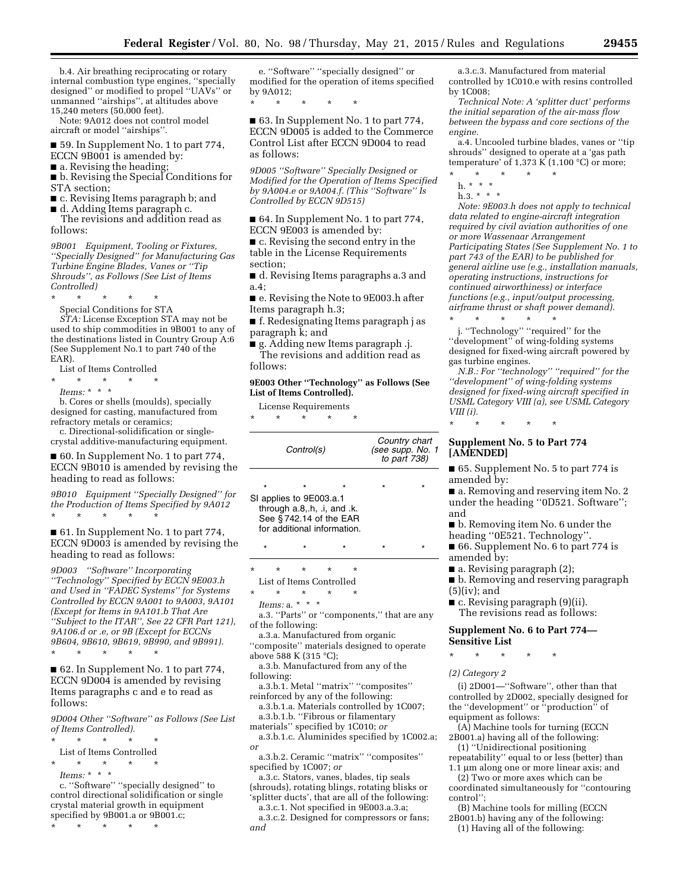b.4. Air breathing reciprocating or rotary internal combustion type engines, ''specially designed'' or modified to propel ''UAVs'' or unmanned ''airships'', at altitudes above 15,240 meters (50,000 feet).

Note: 9A012 does not control model aircraft or model ''airships''.

■ 59. In Supplement No. 1 to part 774, ECCN 9B001 is amended by:

- a. Revising the heading;
- b. Revising the Special Conditions for STA section;
- c. Revising Items paragraph b; and
- d. Adding Items paragraph c.

The revisions and addition read as follows:

*9B001 Equipment, Tooling or Fixtures, ''Specially Designed'' for Manufacturing Gas Turbine Engine Blades, Vanes or ''Tip Shrouds'', as Follows (See List of Items Controlled)* 

\* \* \* \* \*

Special Conditions for STA

*STA:* License Exception STA may not be used to ship commodities in 9B001 to any of the destinations listed in Country Group A:6 (See Supplement No.1 to part 740 of the EAR).

List of Items Controlled

- \* \* \* \* \*
- *Items:* \* \* \*

b. Cores or shells (moulds), specially designed for casting, manufactured from refractory metals or ceramics;

c. Directional-solidification or singlecrystal additive-manufacturing equipment.

■ 60. In Supplement No. 1 to part 774, ECCN 9B010 is amended by revising the heading to read as follows:

*9B010 Equipment ''Specially Designed'' for the Production of Items Specified by 9A012*  \* \* \* \* \*

■ 61. In Supplement No. 1 to part 774, ECCN 9D003 is amended by revising the heading to read as follows:

*9D003 ''Software'' Incorporating ''Technology'' Specified by ECCN 9E003.h and Used in ''FADEC Systems'' for Systems Controlled by ECCN 9A001 to 9A003, 9A101 (Except for Items in 9A101.b That Are ''Subject to the ITAR'', See 22 CFR Part 121), 9A106.d or .e, or 9B (Except for ECCNs 9B604, 9B610, 9B619, 9B990, and 9B991).* 

\* \* \* \* \*

■ 62. In Supplement No. 1 to part 774, ECCN 9D004 is amended by revising Items paragraphs c and e to read as follows:

*9D004 Other ''Software'' as Follows (See List of Items Controlled).* 

\* \* \* \* \*

List of Items Controlled

 $\star$   $\star$   $\star$ 

*Items:* \* \* \*

c. ''Software'' ''specially designed'' to control directional solidification or single crystal material growth in equipment specified by 9B001.a or 9B001.c;

\* \* \* \* \*

e. ''Software'' ''specially designed'' or modified for the operation of items specified by 9A012;

\* \* \* \* \*

■ 63. In Supplement No. 1 to part 774, ECCN 9D005 is added to the Commerce Control List after ECCN 9D004 to read as follows:

*9D005 ''Software'' Specially Designed or Modified for the Operation of Items Specified by 9A004.e or 9A004.f. (This ''Software'' Is Controlled by ECCN 9D515)* 

■ 64. In Supplement No. 1 to part 774, ECCN 9E003 is amended by:

■ c. Revising the second entry in the table in the License Requirements section;

■ d. Revising Items paragraphs a.3 and a.4;

■ e. Revising the Note to 9E003.h after Items paragraph h.3;

■ f. Redesignating Items paragraph j as paragraph k; and

■ g. Adding new Items paragraph .j. The revisions and addition read as follows:

#### **9E003 Other ''Technology'' as Follows (See List of Items Controlled).**

License Requirements

|  | * * * * * |  |
|--|-----------|--|
|  |           |  |

| Control(s) |                                                                                                                 |                 |          |   | Country chart<br>(see supp. No. 1<br>to part 738) |   |
|------------|-----------------------------------------------------------------------------------------------------------------|-----------------|----------|---|---------------------------------------------------|---|
|            | $\star$                                                                                                         |                 |          |   | ÷                                                 | ÷ |
|            | SI applies to 9E003.a.1<br>through a.8, h, .i, and .k.<br>See §742.14 of the EAR<br>for additional information. |                 |          |   |                                                   |   |
|            | $\star$                                                                                                         | $\star$         |          |   | $\star$                                           | ÷ |
| $\star$    | $^\star$                                                                                                        | $\star$         | $^\star$ | * |                                                   |   |
|            | List of Items Controlled                                                                                        |                 |          |   |                                                   |   |
| ماله       |                                                                                                                 | alla controller |          |   |                                                   |   |

\* \* \* \* \*

*Items:* a. \* \* \*

a.3. ''Parts'' or ''components,'' that are any of the following:

a.3.a. Manufactured from organic

''composite'' materials designed to operate above 588 K (315 °C);

a.3.b. Manufactured from any of the following:

a.3.b.1. Metal ''matrix'' ''composites'' reinforced by any of the following:

a.3.b.1.a. Materials controlled by 1C007; a.3.b.1.b. ''Fibrous or filamentary

materials'' specified by 1C010; *or* 

a.3.b.1.c. Aluminides specified by 1C002.a; *or* 

a.3.b.2. Ceramic ''matrix'' ''composites'' specified by 1C007; *or* 

a.3.c. Stators, vanes, blades, tip seals (shrouds), rotating blings, rotating blisks or

'splitter ducts', that are all of the following: a.3.c.1. Not specified in 9E003.a.3.a;

a.3.c.2. Designed for compressors or fans; *and* 

a.3.c.3. Manufactured from material controlled by 1C010.e with resins controlled by 1C008;

*Technical Note: A 'splitter duct' performs the initial separation of the air-mass flow between the bypass and core sections of the engine.* 

a.4. Uncooled turbine blades, vanes or ''tip shrouds'' designed to operate at a 'gas path temperature' of 1,373 K (1,100  $^{\circ}$ C) or more;

\* \* \* \* \*

h. \* \* \* h.3. \* \* \*

*Note: 9E003.h does not apply to technical data related to engine-aircraft integration required by civil aviation authorities of one or more Wassenaar Arrangement Participating States (See Supplement No. 1 to part 743 of the EAR) to be published for general airline use (e.g., installation manuals, operating instructions, instructions for continued airworthiness) or interface functions (e.g., input/output processing, airframe thrust or shaft power demand).* 

\* \* \* \* \* j. ''Technology'' ''required'' for the ''development'' of wing-folding systems designed for fixed-wing aircraft powered by gas turbine engines.

*N.B.: For ''technology'' ''required'' for the ''development'' of wing-folding systems designed for fixed-wing aircraft specified in USML Category VIII (a), see USML Category VIII (i).* 

\* \* \* \* \*

### **Supplement No. 5 to Part 774 [AMENDED]**

■ 65. Supplement No. 5 to part 774 is amended by:

■ a. Removing and reserving item No. 2 under the heading ''0D521. Software''; and

■ b. Removing item No. 6 under the

heading ''0E521. Technology''. ■ 66. Supplement No. 6 to part 774 is

- amended by:
- a. Revising paragraph (2);

■ b. Removing and reserving paragraph  $(5)(iv)$ ; and

■ c. Revising paragraph (9)(ii). The revisions read as follows:

### **Supplement No. 6 to Part 774— Sensitive List**

\* \* \* \* \*

*(2) Category 2* 

(i) 2D001—''Software'', other than that controlled by 2D002, specially designed for the ''development'' or ''production'' of equipment as follows:

(A) Machine tools for turning (ECCN 2B001.a) having all of the following:

(1) ''Unidirectional positioning repeatability'' equal to or less (better) than

1.1 µm along one or more linear axis; and (2) Two or more axes which can be coordinated simultaneously for ''contouring

control'';

(B) Machine tools for milling (ECCN 2B001.b) having any of the following:

(1) Having all of the following: